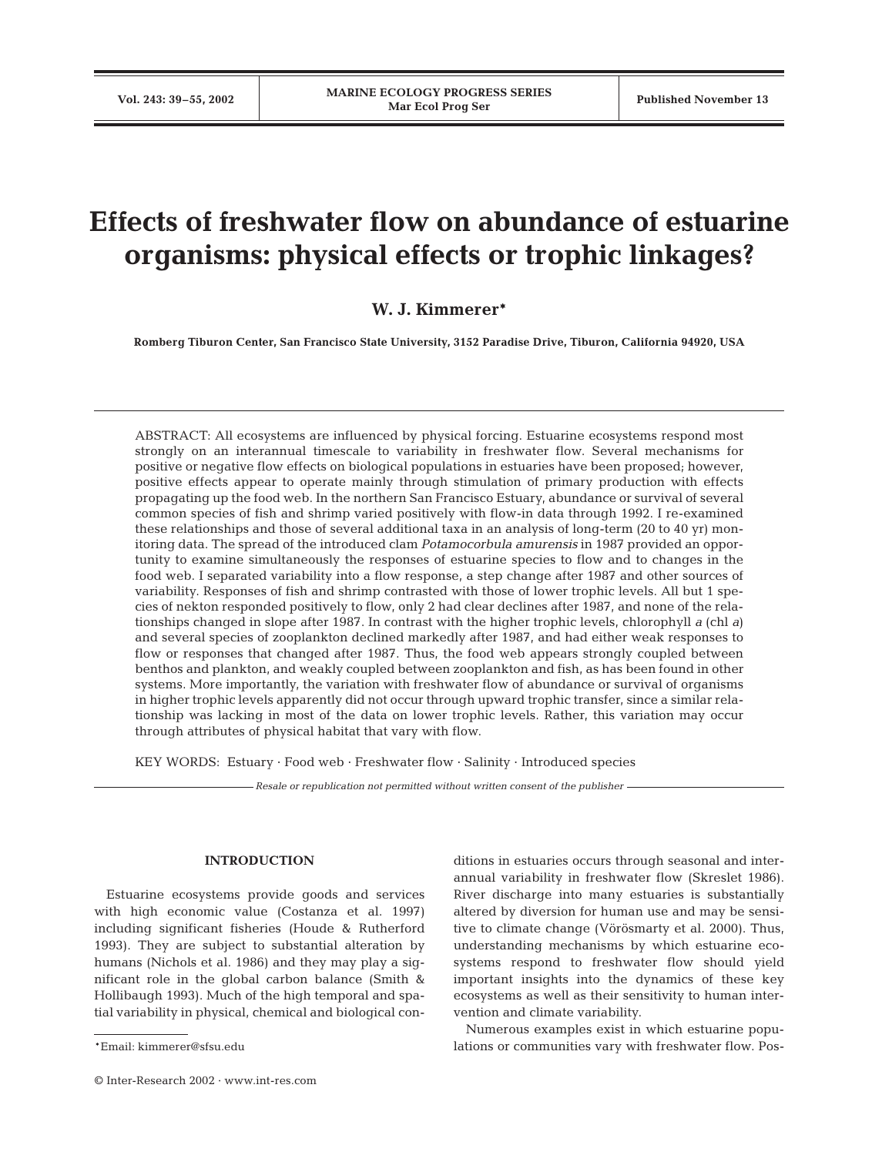# **Effects of freshwater flow on abundance of estuarine organisms: physical effects or trophic linkages?**

# **W. J. Kimmerer\***

**Romberg Tiburon Center, San Francisco State University, 3152 Paradise Drive, Tiburon, California 94920, USA**

ABSTRACT: All ecosystems are influenced by physical forcing. Estuarine ecosystems respond most strongly on an interannual timescale to variability in freshwater flow. Several mechanisms for positive or negative flow effects on biological populations in estuaries have been proposed; however, positive effects appear to operate mainly through stimulation of primary production with effects propagating up the food web. In the northern San Francisco Estuary, abundance or survival of several common species of fish and shrimp varied positively with flow-in data through 1992. I re-examined these relationships and those of several additional taxa in an analysis of long-term (20 to 40 yr) monitoring data. The spread of the introduced clam *Potamocorbula amurensis* in 1987 provided an opportunity to examine simultaneously the responses of estuarine species to flow and to changes in the food web. I separated variability into a flow response, a step change after 1987 and other sources of variability. Responses of fish and shrimp contrasted with those of lower trophic levels. All but 1 species of nekton responded positively to flow, only 2 had clear declines after 1987, and none of the relationships changed in slope after 1987. In contrast with the higher trophic levels, chlorophyll *a* (chl *a*) and several species of zooplankton declined markedly after 1987, and had either weak responses to flow or responses that changed after 1987. Thus, the food web appears strongly coupled between benthos and plankton, and weakly coupled between zooplankton and fish, as has been found in other systems. More importantly, the variation with freshwater flow of abundance or survival of organisms in higher trophic levels apparently did not occur through upward trophic transfer, since a similar relationship was lacking in most of the data on lower trophic levels. Rather, this variation may occur through attributes of physical habitat that vary with flow.

KEY WORDS: Estuary · Food web · Freshwater flow · Salinity · Introduced species

*Resale or republication not permitted without written consent of the publisher*

# **INTRODUCTION**

Estuarine ecosystems provide goods and services with high economic value (Costanza et al. 1997) including significant fisheries (Houde & Rutherford 1993). They are subject to substantial alteration by humans (Nichols et al. 1986) and they may play a significant role in the global carbon balance (Smith & Hollibaugh 1993). Much of the high temporal and spatial variability in physical, chemical and biological con-

© Inter-Research 2002 · www.int-res.com

ditions in estuaries occurs through seasonal and interannual variability in freshwater flow (Skreslet 1986). River discharge into many estuaries is substantially altered by diversion for human use and may be sensitive to climate change (Vörösmarty et al. 2000). Thus, understanding mechanisms by which estuarine ecosystems respond to freshwater flow should yield important insights into the dynamics of these key ecosystems as well as their sensitivity to human intervention and climate variability.

Numerous examples exist in which estuarine populations or communities vary with freshwater flow. Pos-

<sup>\*</sup>Email: kimmerer@sfsu.edu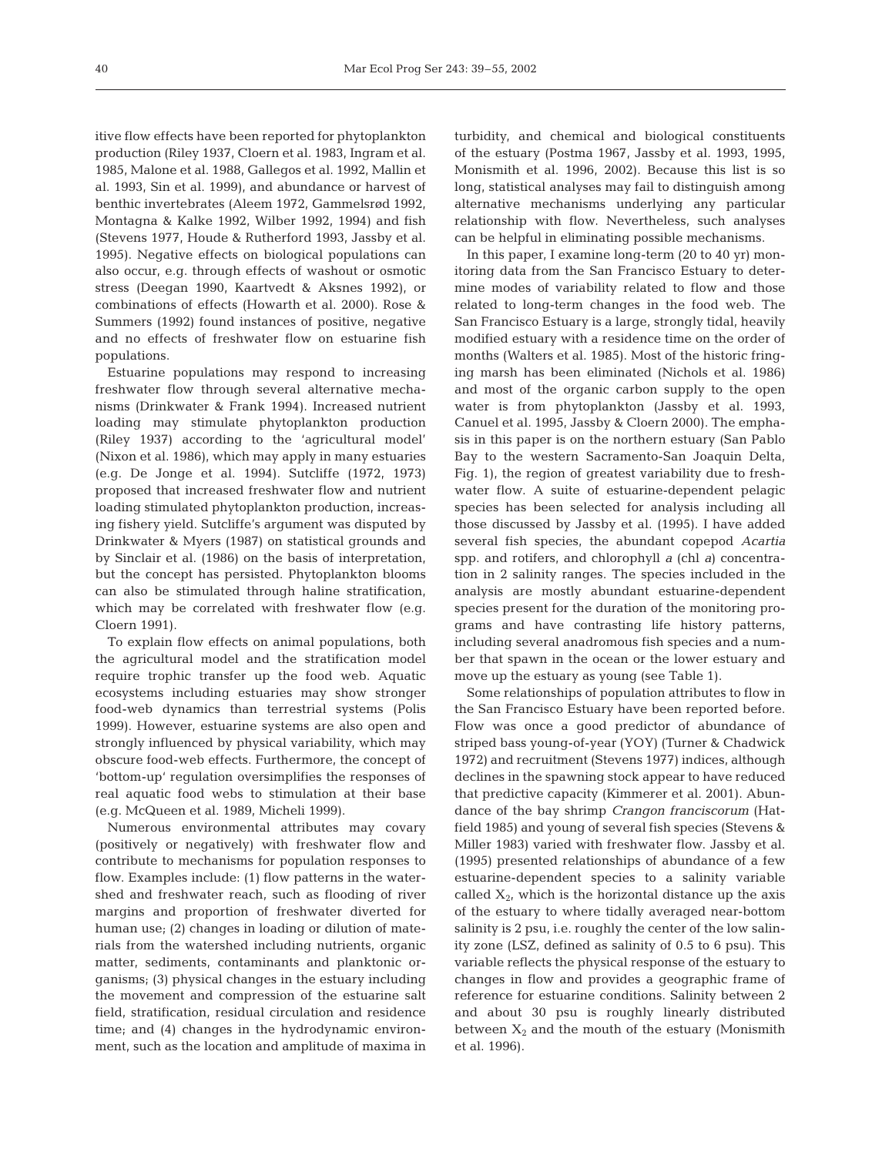itive flow effects have been reported for phytoplankton production (Riley 1937, Cloern et al. 1983, Ingram et al. 1985, Malone et al. 1988, Gallegos et al. 1992, Mallin et al. 1993, Sin et al. 1999), and abundance or harvest of benthic invertebrates (Aleem 1972, Gammelsrød 1992, Montagna & Kalke 1992, Wilber 1992, 1994) and fish (Stevens 1977, Houde & Rutherford 1993, Jassby et al. 1995). Negative effects on biological populations can also occur, e.g. through effects of washout or osmotic stress (Deegan 1990, Kaartvedt & Aksnes 1992), or combinations of effects (Howarth et al. 2000). Rose & Summers (1992) found instances of positive, negative and no effects of freshwater flow on estuarine fish populations.

Estuarine populations may respond to increasing freshwater flow through several alternative mechanisms (Drinkwater & Frank 1994). Increased nutrient loading may stimulate phytoplankton production (Riley 1937) according to the 'agricultural model' (Nixon et al. 1986), which may apply in many estuaries (e.g. De Jonge et al. 1994). Sutcliffe (1972, 1973) proposed that increased freshwater flow and nutrient loading stimulated phytoplankton production, increasing fishery yield. Sutcliffe's argument was disputed by Drinkwater & Myers (1987) on statistical grounds and by Sinclair et al. (1986) on the basis of interpretation, but the concept has persisted. Phytoplankton blooms can also be stimulated through haline stratification, which may be correlated with freshwater flow (e.g. Cloern 1991).

To explain flow effects on animal populations, both the agricultural model and the stratification model require trophic transfer up the food web. Aquatic ecosystems including estuaries may show stronger food-web dynamics than terrestrial systems (Polis 1999). However, estuarine systems are also open and strongly influenced by physical variability, which may obscure food-web effects. Furthermore, the concept of 'bottom-up' regulation oversimplifies the responses of real aquatic food webs to stimulation at their base (e.g. McQueen et al. 1989, Micheli 1999).

Numerous environmental attributes may covary (positively or negatively) with freshwater flow and contribute to mechanisms for population responses to flow. Examples include: (1) flow patterns in the watershed and freshwater reach, such as flooding of river margins and proportion of freshwater diverted for human use; (2) changes in loading or dilution of materials from the watershed including nutrients, organic matter, sediments, contaminants and planktonic organisms; (3) physical changes in the estuary including the movement and compression of the estuarine salt field, stratification, residual circulation and residence time; and (4) changes in the hydrodynamic environment, such as the location and amplitude of maxima in turbidity, and chemical and biological constituents of the estuary (Postma 1967, Jassby et al. 1993, 1995, Monismith et al. 1996, 2002). Because this list is so long, statistical analyses may fail to distinguish among alternative mechanisms underlying any particular relationship with flow. Nevertheless, such analyses can be helpful in eliminating possible mechanisms.

In this paper, I examine long-term (20 to 40 yr) monitoring data from the San Francisco Estuary to determine modes of variability related to flow and those related to long-term changes in the food web. The San Francisco Estuary is a large, strongly tidal, heavily modified estuary with a residence time on the order of months (Walters et al. 1985). Most of the historic fringing marsh has been eliminated (Nichols et al. 1986) and most of the organic carbon supply to the open water is from phytoplankton (Jassby et al. 1993, Canuel et al. 1995, Jassby & Cloern 2000). The emphasis in this paper is on the northern estuary (San Pablo Bay to the western Sacramento-San Joaquin Delta, Fig. 1), the region of greatest variability due to freshwater flow. A suite of estuarine-dependent pelagic species has been selected for analysis including all those discussed by Jassby et al. (1995). I have added several fish species, the abundant copepod *Acartia* spp. and rotifers, and chlorophyll *a* (chl *a*) concentration in 2 salinity ranges. The species included in the analysis are mostly abundant estuarine-dependent species present for the duration of the monitoring programs and have contrasting life history patterns, including several anadromous fish species and a number that spawn in the ocean or the lower estuary and move up the estuary as young (see Table 1).

Some relationships of population attributes to flow in the San Francisco Estuary have been reported before. Flow was once a good predictor of abundance of striped bass young-of-year (YOY) (Turner & Chadwick 1972) and recruitment (Stevens 1977) indices, although declines in the spawning stock appear to have reduced that predictive capacity (Kimmerer et al. 2001). Abundance of the bay shrimp *Crangon franciscorum* (Hatfield 1985) and young of several fish species (Stevens & Miller 1983) varied with freshwater flow. Jassby et al. (1995) presented relationships of abundance of a few estuarine-dependent species to a salinity variable called  $X_{2}$ , which is the horizontal distance up the axis of the estuary to where tidally averaged near-bottom salinity is 2 psu, i.e. roughly the center of the low salinity zone (LSZ, defined as salinity of 0.5 to 6 psu). This variable reflects the physical response of the estuary to changes in flow and provides a geographic frame of reference for estuarine conditions. Salinity between 2 and about 30 psu is roughly linearly distributed between  $X_2$  and the mouth of the estuary (Monismith et al. 1996).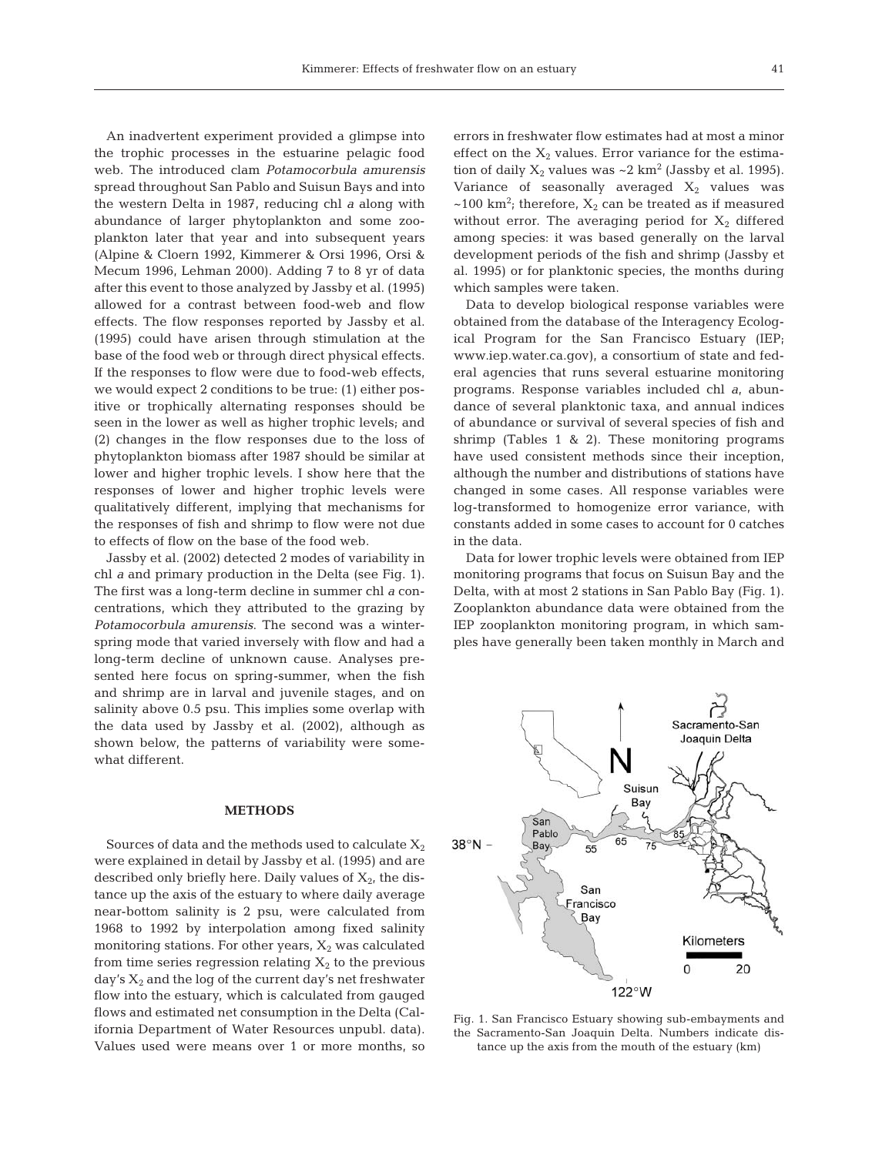An inadvertent experiment provided a glimpse into the trophic processes in the estuarine pelagic food web. The introduced clam *Potamocorbula amurensis* spread throughout San Pablo and Suisun Bays and into the western Delta in 1987, reducing chl *a* along with abundance of larger phytoplankton and some zooplankton later that year and into subsequent years (Alpine & Cloern 1992, Kimmerer & Orsi 1996, Orsi & Mecum 1996, Lehman 2000). Adding 7 to 8 yr of data after this event to those analyzed by Jassby et al. (1995) allowed for a contrast between food-web and flow effects. The flow responses reported by Jassby et al. (1995) could have arisen through stimulation at the base of the food web or through direct physical effects. If the responses to flow were due to food-web effects, we would expect 2 conditions to be true: (1) either positive or trophically alternating responses should be seen in the lower as well as higher trophic levels; and (2) changes in the flow responses due to the loss of phytoplankton biomass after 1987 should be similar at lower and higher trophic levels. I show here that the responses of lower and higher trophic levels were qualitatively different, implying that mechanisms for the responses of fish and shrimp to flow were not due to effects of flow on the base of the food web.

Jassby et al. (2002) detected 2 modes of variability in chl *a* and primary production in the Delta (see Fig. 1). The first was a long-term decline in summer chl *a* concentrations, which they attributed to the grazing by *Potamocorbula amurensis*. The second was a winterspring mode that varied inversely with flow and had a long-term decline of unknown cause. Analyses presented here focus on spring-summer, when the fish and shrimp are in larval and juvenile stages, and on salinity above 0.5 psu. This implies some overlap with the data used by Jassby et al. (2002), although as shown below, the patterns of variability were somewhat different.

#### **METHODS**

Sources of data and the methods used to calculate  $X_2$ were explained in detail by Jassby et al. (1995) and are described only briefly here. Daily values of  $X_{2}$ , the distance up the axis of the estuary to where daily average near-bottom salinity is 2 psu, were calculated from 1968 to 1992 by interpolation among fixed salinity monitoring stations. For other years,  $X_2$  was calculated from time series regression relating  $X_2$  to the previous day's  $X_2$  and the log of the current day's net freshwater flow into the estuary, which is calculated from gauged flows and estimated net consumption in the Delta (California Department of Water Resources unpubl. data). Values used were means over 1 or more months, so errors in freshwater flow estimates had at most a minor effect on the  $X_2$  values. Error variance for the estimation of daily  $X_2$  values was  $\sim$  2 km<sup>2</sup> (Jassby et al. 1995). Variance of seasonally averaged  $X_2$  values was  $\sim$ 100 km<sup>2</sup>; therefore,  $X_2$  can be treated as if measured without error. The averaging period for  $X_2$  differed among species: it was based generally on the larval development periods of the fish and shrimp (Jassby et al. 1995) or for planktonic species, the months during which samples were taken.

Data to develop biological response variables were obtained from the database of the Interagency Ecological Program for the San Francisco Estuary (IEP; www.iep.water.ca.gov), a consortium of state and federal agencies that runs several estuarine monitoring programs. Response variables included chl *a*, abundance of several planktonic taxa, and annual indices of abundance or survival of several species of fish and shrimp (Tables 1 & 2). These monitoring programs have used consistent methods since their inception, although the number and distributions of stations have changed in some cases. All response variables were log-transformed to homogenize error variance, with constants added in some cases to account for 0 catches in the data.

Data for lower trophic levels were obtained from IEP monitoring programs that focus on Suisun Bay and the Delta, with at most 2 stations in San Pablo Bay (Fig. 1). Zooplankton abundance data were obtained from the IEP zooplankton monitoring program, in which samples have generally been taken monthly in March and



Fig. 1. San Francisco Estuary showing sub-embayments and the Sacramento-San Joaquin Delta. Numbers indicate distance up the axis from the mouth of the estuary (km)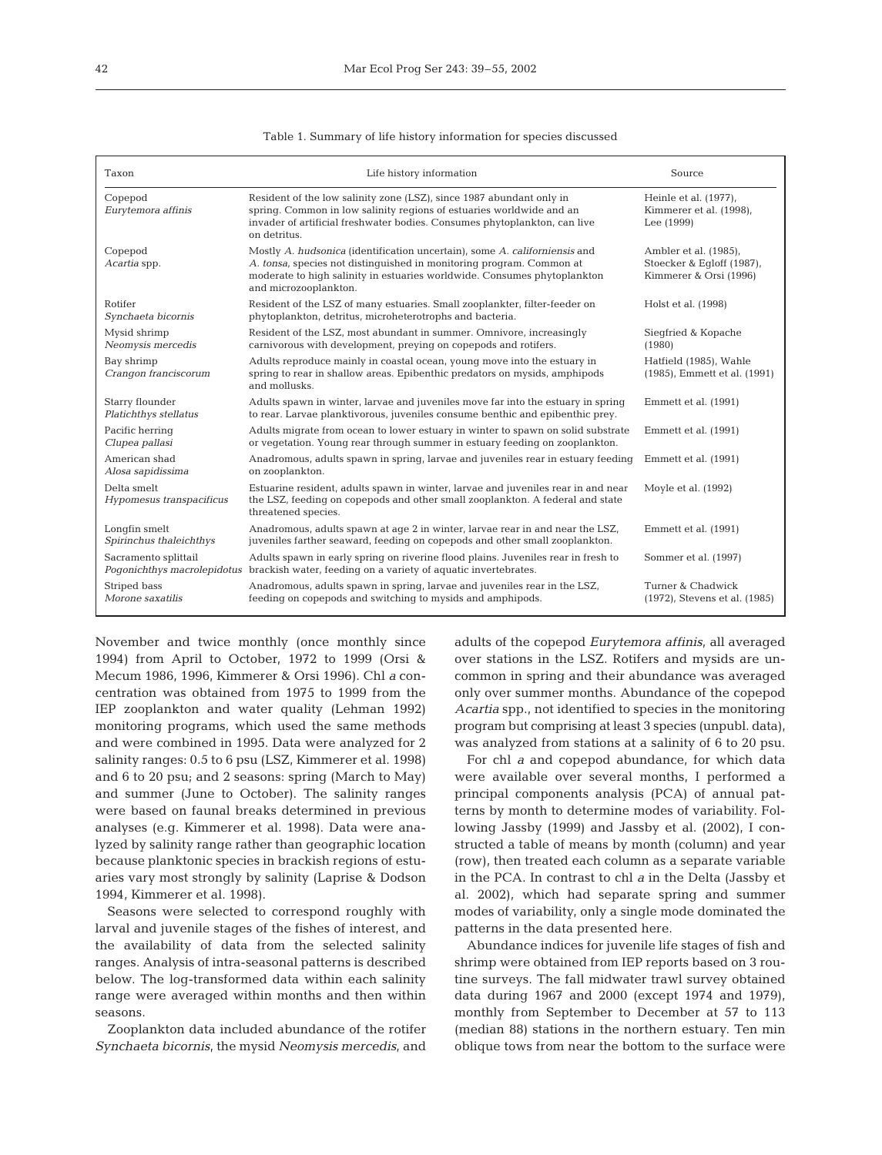| Taxon                                               | Life history information                                                                                                                                                                                                                                | Source                                                                       |
|-----------------------------------------------------|---------------------------------------------------------------------------------------------------------------------------------------------------------------------------------------------------------------------------------------------------------|------------------------------------------------------------------------------|
| Copepod<br>Eurytemora affinis                       | Resident of the low salinity zone (LSZ), since 1987 abundant only in<br>spring. Common in low salinity regions of estuaries worldwide and an<br>invader of artificial freshwater bodies. Consumes phytoplankton, can live<br>on detritus.               | Heinle et al. (1977).<br>Kimmerer et al. (1998),<br>Lee (1999)               |
| Copepod<br>Acartia spp.                             | Mostly A. hudsonica (identification uncertain), some A. californiensis and<br>A. tonsa, species not distinguished in monitoring program. Common at<br>moderate to high salinity in estuaries worldwide. Consumes phytoplankton<br>and microzooplankton. | Ambler et al. (1985),<br>Stoecker & Eqloff (1987),<br>Kimmerer & Orsi (1996) |
| Rotifer<br>Synchaeta bicornis                       | Resident of the LSZ of many estuaries. Small zooplankter, filter-feeder on<br>phytoplankton, detritus, microheterotrophs and bacteria.                                                                                                                  | Holst et al. (1998)                                                          |
| Mysid shrimp<br>Neomysis mercedis                   | Resident of the LSZ, most abundant in summer. Omnivore, increasingly<br>carnivorous with development, preving on copepods and rotifers.                                                                                                                 | Siegfried & Kopache<br>(1980)                                                |
| Bay shrimp<br>Crangon franciscorum                  | Adults reproduce mainly in coastal ocean, young move into the estuary in<br>spring to rear in shallow areas. Epibenthic predators on mysids, amphipods<br>and mollusks.                                                                                 | Hatfield (1985), Wahle<br>(1985), Emmett et al. (1991)                       |
| Starry flounder<br>Platichthys stellatus            | Adults spawn in winter, larvae and juveniles move far into the estuary in spring<br>to rear. Larvae planktivorous, juveniles consume benthic and epibenthic prey.                                                                                       | Emmett et al. (1991)                                                         |
| Pacific herring<br>Clupea pallasi                   | Adults migrate from ocean to lower estuary in winter to spawn on solid substrate<br>or vegetation. Young rear through summer in estuary feeding on zooplankton.                                                                                         | Emmett et al. (1991)                                                         |
| American shad<br>Alosa sapidissima                  | Anadromous, adults spawn in spring, larvae and juveniles rear in estuary feeding<br>on zooplankton.                                                                                                                                                     | Emmett et al. (1991)                                                         |
| Delta smelt<br>Hypomesus transpacificus             | Estuarine resident, adults spawn in winter, larvae and juveniles rear in and near<br>the LSZ, feeding on copepods and other small zooplankton. A federal and state<br>threatened species.                                                               | Moyle et al. (1992)                                                          |
| Longfin smelt<br>Spirinchus thaleichthys            | Anadromous, adults spawn at age 2 in winter, larvae rear in and near the LSZ,<br>juveniles farther seaward, feeding on copepods and other small zooplankton.                                                                                            | Emmett et al. (1991)                                                         |
| Sacramento splittail<br>Pogonichthys macrolepidotus | Adults spawn in early spring on riverine flood plains. Juveniles rear in fresh to<br>brackish water, feeding on a variety of aquatic invertebrates.                                                                                                     | Sommer et al. (1997)                                                         |
| Striped bass<br>Morone saxatilis                    | Anadromous, adults spawn in spring, larvae and juveniles rear in the LSZ,<br>feeding on copepods and switching to mysids and amphipods.                                                                                                                 | Turner & Chadwick<br>(1972), Stevens et al. (1985)                           |

|  |  |  |  | Table 1. Summary of life history information for species discussed |  |  |  |
|--|--|--|--|--------------------------------------------------------------------|--|--|--|
|--|--|--|--|--------------------------------------------------------------------|--|--|--|

November and twice monthly (once monthly since 1994) from April to October, 1972 to 1999 (Orsi & Mecum 1986, 1996, Kimmerer & Orsi 1996). Chl *a* concentration was obtained from 1975 to 1999 from the IEP zooplankton and water quality (Lehman 1992) monitoring programs, which used the same methods and were combined in 1995. Data were analyzed for 2 salinity ranges: 0.5 to 6 psu (LSZ, Kimmerer et al. 1998) and 6 to 20 psu; and 2 seasons: spring (March to May) and summer (June to October). The salinity ranges were based on faunal breaks determined in previous analyses (e.g. Kimmerer et al. 1998). Data were analyzed by salinity range rather than geographic location because planktonic species in brackish regions of estuaries vary most strongly by salinity (Laprise & Dodson 1994, Kimmerer et al. 1998).

Seasons were selected to correspond roughly with larval and juvenile stages of the fishes of interest, and the availability of data from the selected salinity ranges. Analysis of intra-seasonal patterns is described below. The log-transformed data within each salinity range were averaged within months and then within seasons.

Zooplankton data included abundance of the rotifer *Synchaeta bicornis*, the mysid *Neomysis mercedis*, and adults of the copepod *Eurytemora affinis*, all averaged over stations in the LSZ. Rotifers and mysids are uncommon in spring and their abundance was averaged only over summer months. Abundance of the copepod *Acartia* spp., not identified to species in the monitoring program but comprising at least 3 species (unpubl. data), was analyzed from stations at a salinity of 6 to 20 psu.

For chl *a* and copepod abundance, for which data were available over several months, I performed a principal components analysis (PCA) of annual patterns by month to determine modes of variability. Following Jassby (1999) and Jassby et al. (2002), I constructed a table of means by month (column) and year (row), then treated each column as a separate variable in the PCA. In contrast to chl *a* in the Delta (Jassby et al. 2002), which had separate spring and summer modes of variability, only a single mode dominated the patterns in the data presented here.

Abundance indices for juvenile life stages of fish and shrimp were obtained from IEP reports based on 3 routine surveys. The fall midwater trawl survey obtained data during 1967 and 2000 (except 1974 and 1979), monthly from September to December at 57 to 113 (median 88) stations in the northern estuary. Ten min oblique tows from near the bottom to the surface were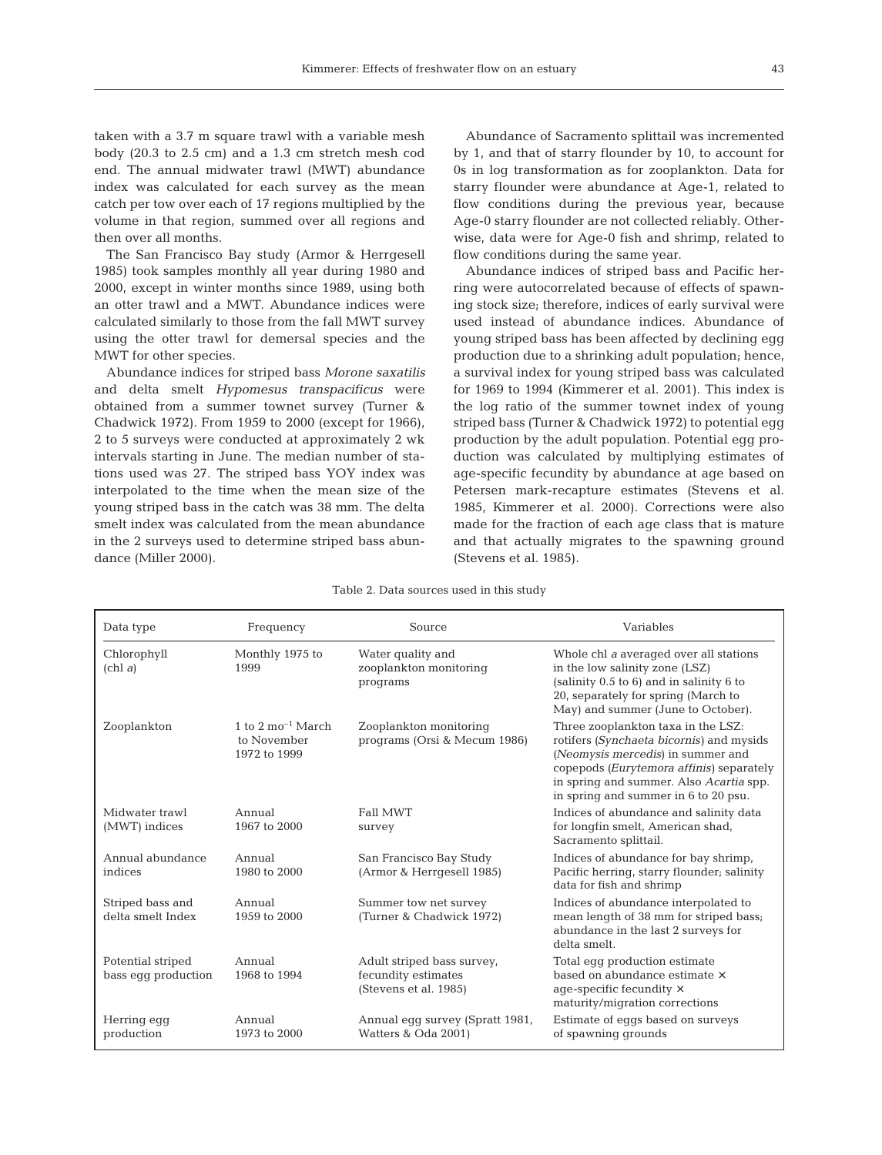taken with a 3.7 m square trawl with a variable mesh body (20.3 to 2.5 cm) and a 1.3 cm stretch mesh cod end. The annual midwater trawl (MWT) abundance index was calculated for each survey as the mean catch per tow over each of 17 regions multiplied by the volume in that region, summed over all regions and then over all months.

The San Francisco Bay study (Armor & Herrgesell 1985) took samples monthly all year during 1980 and 2000, except in winter months since 1989, using both an otter trawl and a MWT. Abundance indices were calculated similarly to those from the fall MWT survey using the otter trawl for demersal species and the MWT for other species.

Abundance indices for striped bass *Morone saxatilis* and delta smelt *Hypomesus transpacificus* were obtained from a summer townet survey (Turner & Chadwick 1972). From 1959 to 2000 (except for 1966), 2 to 5 surveys were conducted at approximately 2 wk intervals starting in June. The median number of stations used was 27. The striped bass YOY index was interpolated to the time when the mean size of the young striped bass in the catch was 38 mm. The delta smelt index was calculated from the mean abundance in the 2 surveys used to determine striped bass abundance (Miller 2000).

Abundance of Sacramento splittail was incremented by 1, and that of starry flounder by 10, to account for 0s in log transformation as for zooplankton. Data for starry flounder were abundance at Age-1, related to flow conditions during the previous year, because Age-0 starry flounder are not collected reliably. Otherwise, data were for Age-0 fish and shrimp, related to flow conditions during the same year.

Abundance indices of striped bass and Pacific herring were autocorrelated because of effects of spawning stock size; therefore, indices of early survival were used instead of abundance indices. Abundance of young striped bass has been affected by declining egg production due to a shrinking adult population; hence, a survival index for young striped bass was calculated for 1969 to 1994 (Kimmerer et al. 2001). This index is the log ratio of the summer townet index of young striped bass (Turner & Chadwick 1972) to potential egg production by the adult population. Potential egg production was calculated by multiplying estimates of age-specific fecundity by abundance at age based on Petersen mark-recapture estimates (Stevens et al. 1985, Kimmerer et al. 2000). Corrections were also made for the fraction of each age class that is mature and that actually migrates to the spawning ground (Stevens et al. 1985).

| Data type                                   | Frequency                                                    | Source                                                                     | Variables                                                                                                                                                                                                                                          |
|---------------------------------------------|--------------------------------------------------------------|----------------------------------------------------------------------------|----------------------------------------------------------------------------------------------------------------------------------------------------------------------------------------------------------------------------------------------------|
| Chlorophyll<br>$\left(\text{chl } a\right)$ | Monthly 1975 to<br>1999                                      | Water quality and<br>zooplankton monitoring<br>programs                    | Whole chl a averaged over all stations<br>in the low salinity zone (LSZ)<br>(salinity 0.5 to 6) and in salinity 6 to<br>20, separately for spring (March to<br>May) and summer (June to October).                                                  |
| Zooplankton                                 | 1 to 2 $\text{mo}^{-1}$ March<br>to November<br>1972 to 1999 | Zooplankton monitoring<br>programs (Orsi & Mecum 1986)                     | Three zooplankton taxa in the LSZ:<br>rotifers (Synchaeta bicornis) and mysids<br>(Neomysis mercedis) in summer and<br>copepods (Eurytemora affinis) separately<br>in spring and summer. Also Acartia spp.<br>in spring and summer in 6 to 20 psu. |
| Midwater trawl<br>(MWT) indices             | Annual<br>1967 to 2000                                       | <b>Fall MWT</b><br>survey                                                  | Indices of abundance and salinity data<br>for longfin smelt, American shad,<br>Sacramento splittail.                                                                                                                                               |
| Annual abundance<br>indices                 | Annual<br>1980 to 2000                                       | San Francisco Bay Study<br>(Armor & Herrgesell 1985)                       | Indices of abundance for bay shrimp,<br>Pacific herring, starry flounder; salinity<br>data for fish and shrimp                                                                                                                                     |
| Striped bass and<br>delta smelt Index       | Annual<br>1959 to 2000                                       | Summer tow net survey<br>(Turner & Chadwick 1972)                          | Indices of abundance interpolated to<br>mean length of 38 mm for striped bass;<br>abundance in the last 2 surveys for<br>delta smelt.                                                                                                              |
| Potential striped<br>bass egg production    | Annual<br>1968 to 1994                                       | Adult striped bass survey,<br>fecundity estimates<br>(Stevens et al. 1985) | Total eqq production estimate<br>based on abundance estimate x<br>age-specific fecundity $\times$<br>maturity/migration corrections                                                                                                                |
| Herring egg<br>production                   | Annual<br>1973 to 2000                                       | Annual egg survey (Spratt 1981,<br>Watters & Oda 2001)                     | Estimate of eqgs based on surveys<br>of spawning grounds                                                                                                                                                                                           |

Table 2. Data sources used in this study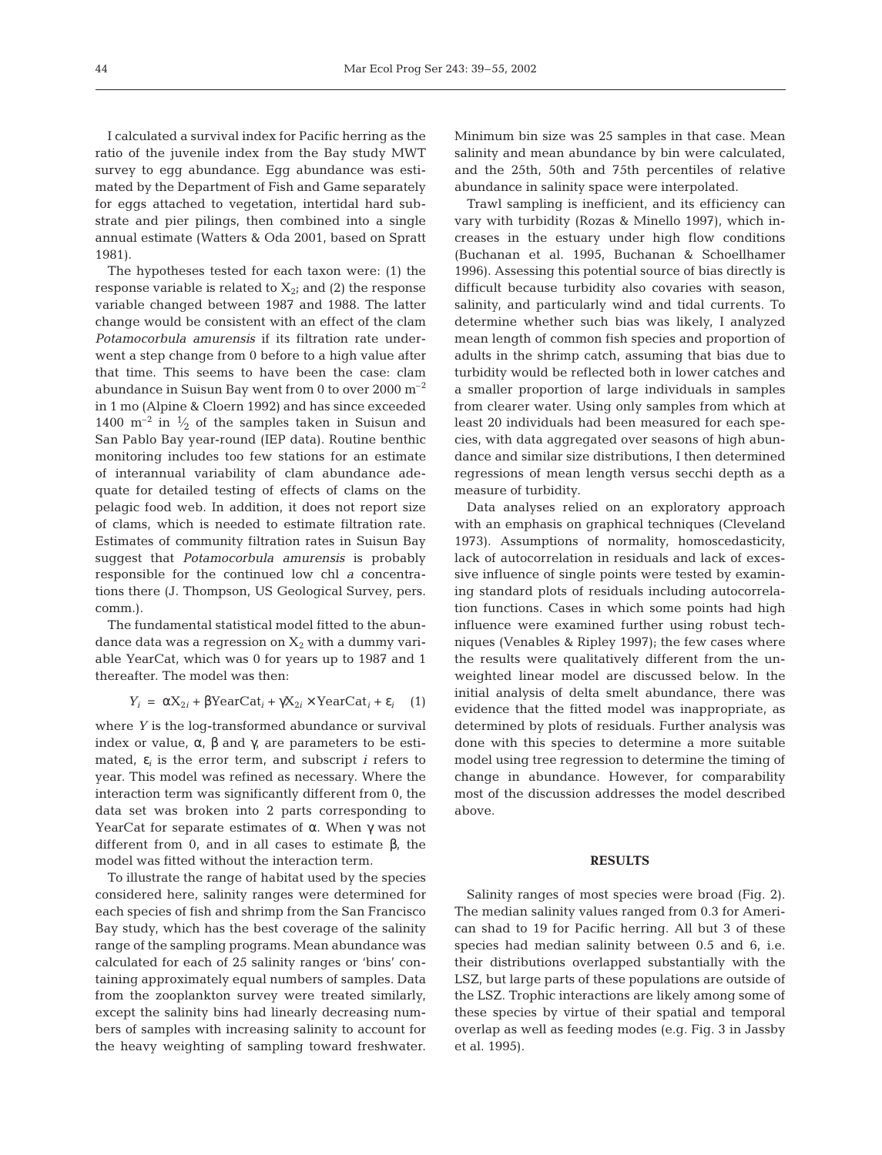I calculated a survival index for Pacific herring as the ratio of the juvenile index from the Bay study MWT survey to egg abundance. Egg abundance was estimated by the Department of Fish and Game separately for eggs attached to vegetation, intertidal hard substrate and pier pilings, then combined into a single annual estimate (Watters & Oda 2001, based on Spratt 1981).

The hypotheses tested for each taxon were: (1) the response variable is related to  $X_{2i}$  and (2) the response variable changed between 1987 and 1988. The latter change would be consistent with an effect of the clam *Potamocorbula amurensis* if its filtration rate underwent a step change from 0 before to a high value after that time. This seems to have been the case: clam abundance in Suisun Bay went from 0 to over  $2000 \text{ m}^{-2}$ in 1 mo (Alpine & Cloern 1992) and has since exceeded 1400  $\mathrm{m}^{-2}$  in  $\frac{1}{2}$  of the samples taken in Suisun and San Pablo Bay year-round (IEP data). Routine benthic monitoring includes too few stations for an estimate of interannual variability of clam abundance adequate for detailed testing of effects of clams on the pelagic food web. In addition, it does not report size of clams, which is needed to estimate filtration rate. Estimates of community filtration rates in Suisun Bay suggest that *Potamocorbula amurensis* is probably responsible for the continued low chl *a* concentrations there (J. Thompson, US Geological Survey, pers. comm.).

The fundamental statistical model fitted to the abundance data was a regression on  $X_2$  with a dummy variable YearCat, which was 0 for years up to 1987 and 1 thereafter. The model was then:

$$
Y_i = \alpha X_{2i} + \beta \text{YearCat}_i + \gamma X_{2i} \times \text{YearCat}_i + \varepsilon_i \quad (1)
$$

where *Y* is the log-transformed abundance or survival index or value,  $\alpha$ ,  $\beta$  and  $\gamma$ , are parameters to be estimated,  $\varepsilon_i$  is the error term, and subscript *i* refers to year. This model was refined as necessary. Where the interaction term was significantly different from 0, the data set was broken into 2 parts corresponding to YearCat for separate estimates of α. When γ was not different from 0, and in all cases to estimate β, the model was fitted without the interaction term.

To illustrate the range of habitat used by the species considered here, salinity ranges were determined for each species of fish and shrimp from the San Francisco Bay study, which has the best coverage of the salinity range of the sampling programs. Mean abundance was calculated for each of 25 salinity ranges or 'bins' containing approximately equal numbers of samples. Data from the zooplankton survey were treated similarly, except the salinity bins had linearly decreasing numbers of samples with increasing salinity to account for the heavy weighting of sampling toward freshwater.

Minimum bin size was 25 samples in that case. Mean salinity and mean abundance by bin were calculated, and the 25th, 50th and 75th percentiles of relative abundance in salinity space were interpolated.

Trawl sampling is inefficient, and its efficiency can vary with turbidity (Rozas & Minello 1997), which increases in the estuary under high flow conditions (Buchanan et al. 1995, Buchanan & Schoellhamer 1996). Assessing this potential source of bias directly is difficult because turbidity also covaries with season, salinity, and particularly wind and tidal currents. To determine whether such bias was likely, I analyzed mean length of common fish species and proportion of adults in the shrimp catch, assuming that bias due to turbidity would be reflected both in lower catches and a smaller proportion of large individuals in samples from clearer water. Using only samples from which at least 20 individuals had been measured for each species, with data aggregated over seasons of high abundance and similar size distributions, I then determined regressions of mean length versus secchi depth as a measure of turbidity.

Data analyses relied on an exploratory approach with an emphasis on graphical techniques (Cleveland 1973). Assumptions of normality, homoscedasticity, lack of autocorrelation in residuals and lack of excessive influence of single points were tested by examining standard plots of residuals including autocorrelation functions. Cases in which some points had high influence were examined further using robust techniques (Venables & Ripley 1997); the few cases where the results were qualitatively different from the unweighted linear model are discussed below. In the initial analysis of delta smelt abundance, there was evidence that the fitted model was inappropriate, as determined by plots of residuals. Further analysis was done with this species to determine a more suitable model using tree regression to determine the timing of change in abundance. However, for comparability most of the discussion addresses the model described above.

### **RESULTS**

Salinity ranges of most species were broad (Fig. 2). The median salinity values ranged from 0.3 for American shad to 19 for Pacific herring. All but 3 of these species had median salinity between 0.5 and 6, i.e. their distributions overlapped substantially with the LSZ, but large parts of these populations are outside of the LSZ. Trophic interactions are likely among some of these species by virtue of their spatial and temporal overlap as well as feeding modes (e.g. Fig. 3 in Jassby et al. 1995).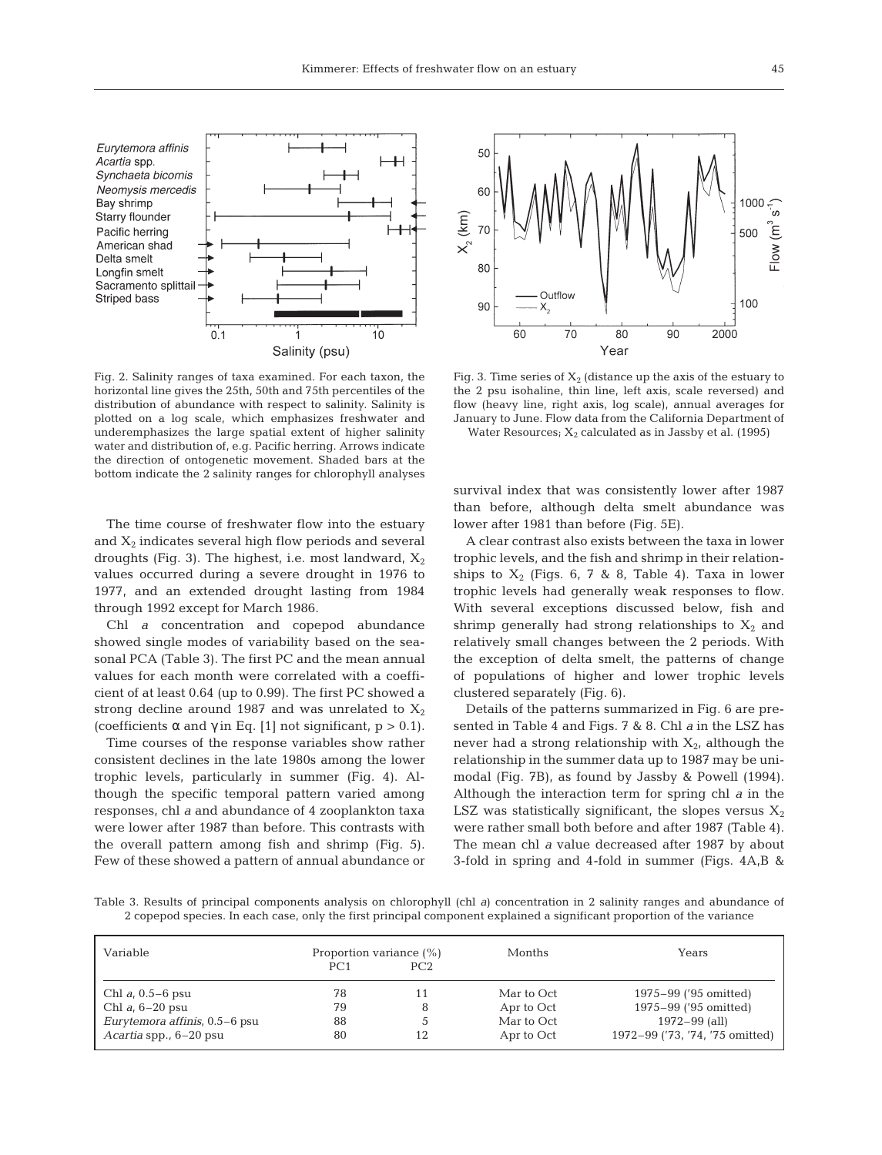

Fig. 2. Salinity ranges of taxa examined. For each taxon, the horizontal line gives the 25th, 50th and 75th percentiles of the distribution of abundance with respect to salinity. Salinity is plotted on a log scale, which emphasizes freshwater and underemphasizes the large spatial extent of higher salinity water and distribution of, e.g. Pacific herring. Arrows indicate the direction of ontogenetic movement. Shaded bars at the bottom indicate the 2 salinity ranges for chlorophyll analyses

The time course of freshwater flow into the estuary and  $X_2$  indicates several high flow periods and several droughts (Fig. 3). The highest, i.e. most landward,  $X_2$ values occurred during a severe drought in 1976 to 1977, and an extended drought lasting from 1984 through 1992 except for March 1986.

Chl *a* concentration and copepod abundance showed single modes of variability based on the seasonal PCA (Table 3). The first PC and the mean annual values for each month were correlated with a coefficient of at least 0.64 (up to 0.99). The first PC showed a strong decline around 1987 and was unrelated to  $X_2$ (coefficients  $\alpha$  and  $\gamma$  in Eq. [1] not significant, p > 0.1).

Time courses of the response variables show rather consistent declines in the late 1980s among the lower trophic levels, particularly in summer (Fig. 4). Although the specific temporal pattern varied among responses, chl *a* and abundance of 4 zooplankton taxa were lower after 1987 than before. This contrasts with the overall pattern among fish and shrimp (Fig. 5). Few of these showed a pattern of annual abundance or



Fig. 3. Time series of  $X_2$  (distance up the axis of the estuary to the 2 psu isohaline, thin line, left axis, scale reversed) and flow (heavy line, right axis, log scale), annual averages for January to June. Flow data from the California Department of

Water Resources;  $X_2$  calculated as in Jassby et al. (1995)

survival index that was consistently lower after 1987 than before, although delta smelt abundance was lower after 1981 than before (Fig. 5E).

A clear contrast also exists between the taxa in lower trophic levels, and the fish and shrimp in their relationships to  $X_2$  (Figs. 6, 7 & 8, Table 4). Taxa in lower trophic levels had generally weak responses to flow. With several exceptions discussed below, fish and shrimp generally had strong relationships to  $X_2$  and relatively small changes between the 2 periods. With the exception of delta smelt, the patterns of change of populations of higher and lower trophic levels clustered separately (Fig. 6).

Details of the patterns summarized in Fig. 6 are presented in Table 4 and Figs. 7 & 8. Chl *a* in the LSZ has never had a strong relationship with  $X_{2}$ , although the relationship in the summer data up to 1987 may be unimodal (Fig. 7B), as found by Jassby & Powell (1994). Although the interaction term for spring chl *a* in the LSZ was statistically significant, the slopes versus  $X_2$ were rather small both before and after 1987 (Table 4). The mean chl *a* value decreased after 1987 by about 3-fold in spring and 4-fold in summer (Figs. 4A,B &

Table 3. Results of principal components analysis on chlorophyll (chl *a*) concentration in 2 salinity ranges and abundance of 2 copepod species. In each case, only the first principal component explained a significant proportion of the variance

| Variable                      | Proportion variance (%) |     | Months     | Years                           |
|-------------------------------|-------------------------|-----|------------|---------------------------------|
|                               | PC <sub>1</sub>         | PC2 |            |                                 |
| Chl a, $0.5-6$ psu            | 78                      | 11  | Mar to Oct | 1975–99 ('95 omitted)           |
| Chl $a, 6-20$ psu             | 79                      |     | Apr to Oct | 1975–99 ('95 omitted)           |
| Eurytemora affinis, 0.5-6 psu | 88                      |     | Mar to Oct | $1972 - 99$ (all)               |
| Acartia spp., 6–20 psu        | 80                      | 12  | Apr to Oct | 1972-99 ('73, '74, '75 omitted) |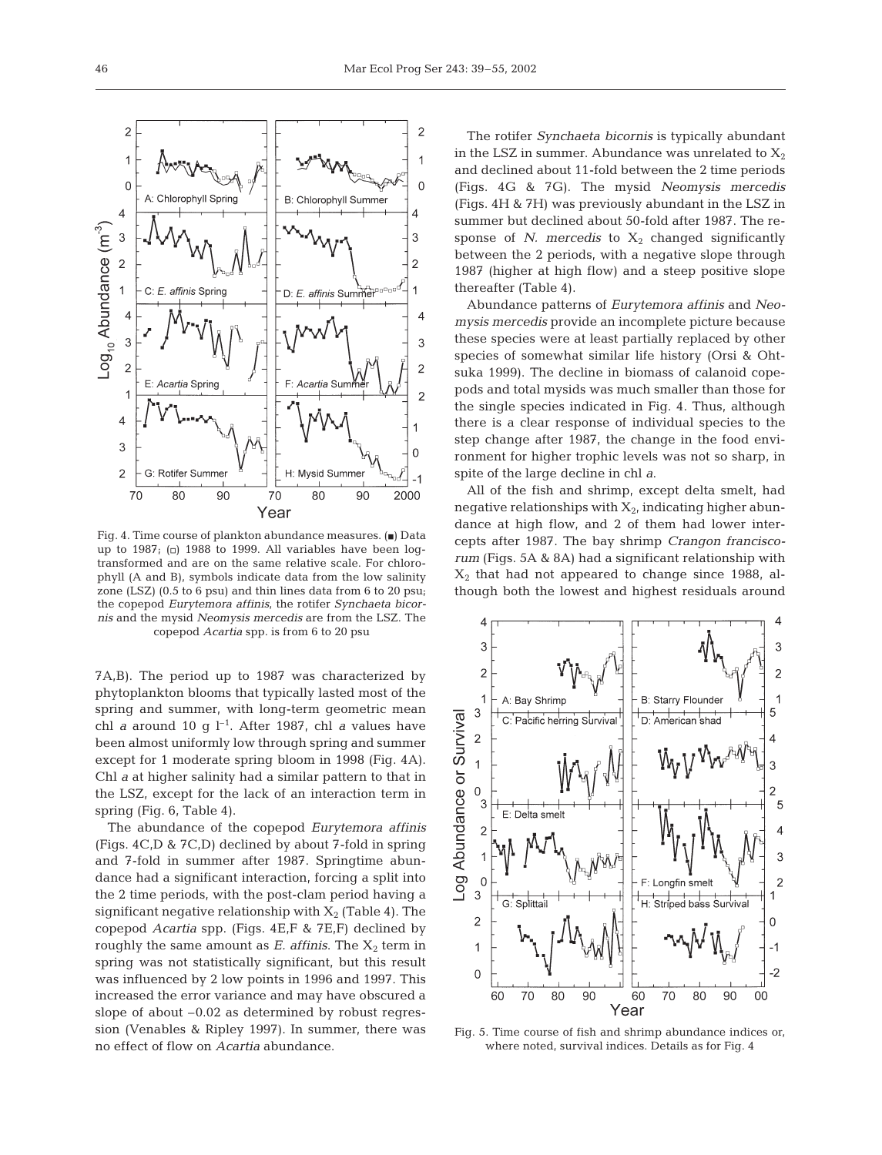Fig. 4. Time course of plankton abundance measures.  $(\blacksquare)$  Data up to 1987; ( $\Box$ ) 1988 to 1999. All variables have been logtransformed and are on the same relative scale. For chlorophyll (A and B), symbols indicate data from the low salinity zone (LSZ) (0.5 to 6 psu) and thin lines data from 6 to 20 psu; the copepod *Eurytemora affinis,* the rotifer *Synchaeta bicornis* and the mysid *Neomysis mercedis* are from the LSZ. The copepod *Acartia* spp. is from 6 to 20 psu

7A,B). The period up to 1987 was characterized by phytoplankton blooms that typically lasted most of the spring and summer, with long-term geometric mean chl *a* around 10 g  $l^{-1}$ . After 1987, chl *a* values have been almost uniformly low through spring and summer except for 1 moderate spring bloom in 1998 (Fig. 4A). Chl *a* at higher salinity had a similar pattern to that in the LSZ, except for the lack of an interaction term in spring (Fig. 6, Table 4).

The abundance of the copepod *Eurytemora affinis* (Figs. 4C,D & 7C,D) declined by about 7-fold in spring and 7-fold in summer after 1987. Springtime abundance had a significant interaction, forcing a split into the 2 time periods, with the post-clam period having a significant negative relationship with  $X_2$  (Table 4). The copepod *Acartia* spp. (Figs. 4E,F & 7E,F) declined by roughly the same amount as  $E$ . affinis. The  $X_2$  term in spring was not statistically significant, but this result was influenced by 2 low points in 1996 and 1997. This increased the error variance and may have obscured a slope of about –0.02 as determined by robust regression (Venables & Ripley 1997). In summer, there was no effect of flow on *Acartia* abundance.

The rotifer *Synchaeta bicornis* is typically abundant in the LSZ in summer. Abundance was unrelated to  $X_2$ and declined about 11-fold between the 2 time periods (Figs. 4G & 7G). The mysid *Neomysis mercedis* (Figs. 4H & 7H) was previously abundant in the LSZ in summer but declined about 50-fold after 1987. The response of *N. mercedis* to  $X_2$  changed significantly between the 2 periods, with a negative slope through 1987 (higher at high flow) and a steep positive slope thereafter (Table 4).

Abundance patterns of *Eurytemora affinis* and *Neomysis mercedis* provide an incomplete picture because these species were at least partially replaced by other species of somewhat similar life history (Orsi & Ohtsuka 1999). The decline in biomass of calanoid copepods and total mysids was much smaller than those for the single species indicated in Fig. 4. Thus, although there is a clear response of individual species to the step change after 1987, the change in the food environment for higher trophic levels was not so sharp, in spite of the large decline in chl *a*.

All of the fish and shrimp, except delta smelt, had negative relationships with  $X_2$ , indicating higher abundance at high flow, and 2 of them had lower intercepts after 1987. The bay shrimp *Crangon franciscorum* (Figs. 5A & 8A) had a significant relationship with  $X<sub>2</sub>$  that had not appeared to change since 1988, although both the lowest and highest residuals around

 $\overline{3}$ 

 $\Delta$ 

3



Fig. 5. Time course of fish and shrimp abundance indices or, where noted, survival indices. Details as for Fig. 4

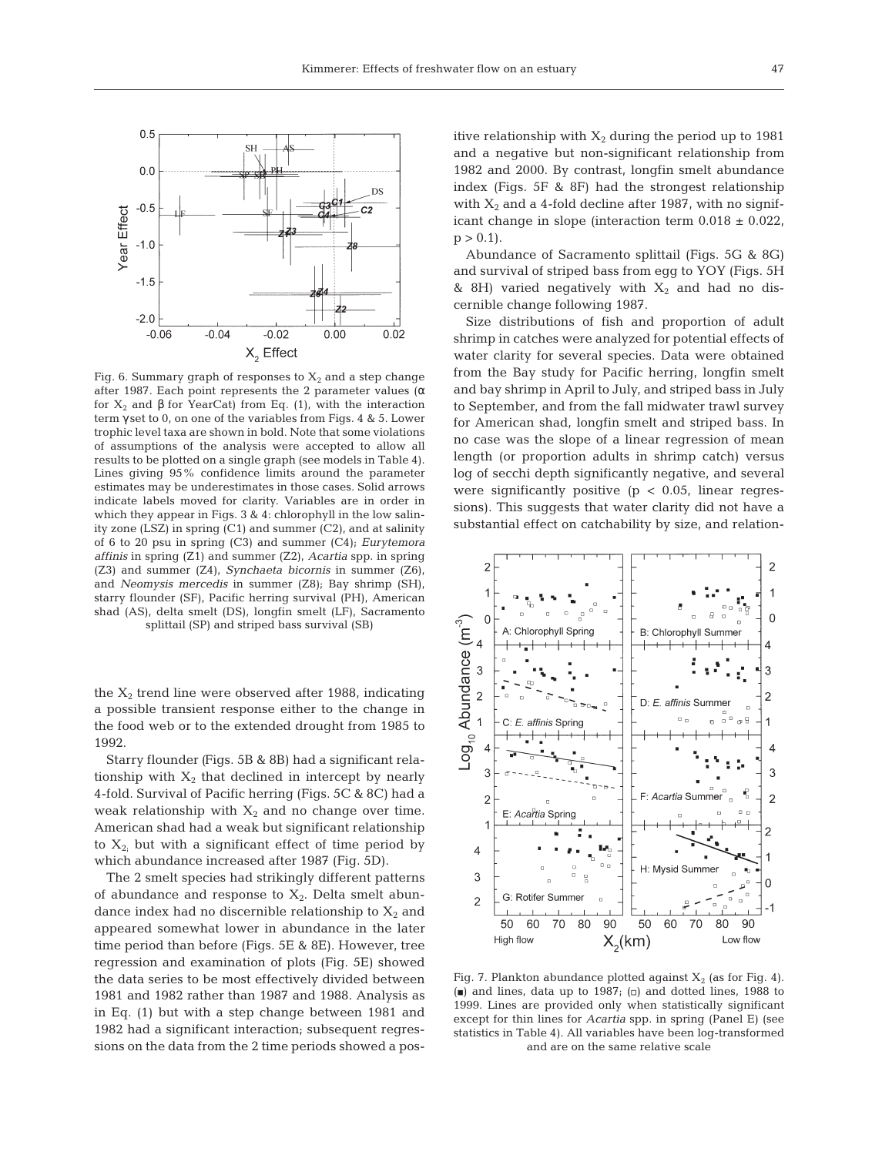

Fig. 6. Summary graph of responses to  $X_2$  and a step change after 1987. Each point represents the 2 parameter values ( $\alpha$ for X2 and β for YearCat) from Eq. (1), with the interaction term γ set to 0, on one of the variables from Figs. 4 & 5. Lower trophic level taxa are shown in bold. Note that some violations of assumptions of the analysis were accepted to allow all results to be plotted on a single graph (see models in Table 4). Lines giving 95% confidence limits around the parameter estimates may be underestimates in those cases. Solid arrows indicate labels moved for clarity. Variables are in order in which they appear in Figs. 3 & 4: chlorophyll in the low salinity zone  $(LSZ)$  in spring  $(C1)$  and summer  $(C2)$ , and at salinity of 6 to 20 psu in spring (C3) and summer (C4); *Eurytemora affinis* in spring (Z1) and summer (Z2), *Acartia* spp. in spring (Z3) and summer (Z4), *Synchaeta bicornis* in summer (Z6), and *Neomysis mercedis* in summer (Z8); Bay shrimp (SH), starry flounder (SF), Pacific herring survival (PH), American shad (AS), delta smelt (DS), longfin smelt (LF), Sacramento splittail (SP) and striped bass survival (SB)

the  $X_2$  trend line were observed after 1988, indicating a possible transient response either to the change in the food web or to the extended drought from 1985 to 1992.

Starry flounder *(*Figs. 5B & 8B) had a significant relationship with  $X_2$  that declined in intercept by nearly 4-fold. Survival of Pacific herring (Figs. 5C & 8C) had a weak relationship with  $X_2$  and no change over time. American shad had a weak but significant relationship to  $X_{2}$ ; but with a significant effect of time period by which abundance increased after 1987 (Fig. 5D).

The 2 smelt species had strikingly different patterns of abundance and response to  $X_2$ . Delta smelt abundance index had no discernible relationship to  $X_2$  and appeared somewhat lower in abundance in the later time period than before (Figs. 5E & 8E). However, tree regression and examination of plots (Fig. 5E) showed the data series to be most effectively divided between 1981 and 1982 rather than 1987 and 1988. Analysis as in Eq. (1) but with a step change between 1981 and 1982 had a significant interaction; subsequent regressions on the data from the 2 time periods showed a positive relationship with  $X_2$  during the period up to 1981 and a negative but non-significant relationship from 1982 and 2000. By contrast, longfin smelt abundance index (Figs. 5F & 8F) had the strongest relationship with  $X_2$  and a 4-fold decline after 1987, with no significant change in slope (interaction term  $0.018 \pm 0.022$ ,  $p > 0.1$ .

Abundance of Sacramento splittail (Figs. 5G & 8G) and survival of striped bass from egg to YOY (Figs. 5H & 8H) varied negatively with  $X_2$  and had no discernible change following 1987.

Size distributions of fish and proportion of adult shrimp in catches were analyzed for potential effects of water clarity for several species. Data were obtained from the Bay study for Pacific herring, longfin smelt and bay shrimp in April to July, and striped bass in July to September, and from the fall midwater trawl survey for American shad, longfin smelt and striped bass. In no case was the slope of a linear regression of mean length (or proportion adults in shrimp catch) versus log of secchi depth significantly negative, and several were significantly positive ( $p < 0.05$ , linear regressions). This suggests that water clarity did not have a substantial effect on catchability by size, and relation-



Fig. 7. Plankton abundance plotted against  $X_2$  (as for Fig. 4). (a) and lines, data up to 1987; ( $\Box$ ) and dotted lines, 1988 to 1999. Lines are provided only when statistically significant except for thin lines for *Acartia* spp. in spring (Panel E) (see statistics in Table 4). All variables have been log-transformed and are on the same relative scale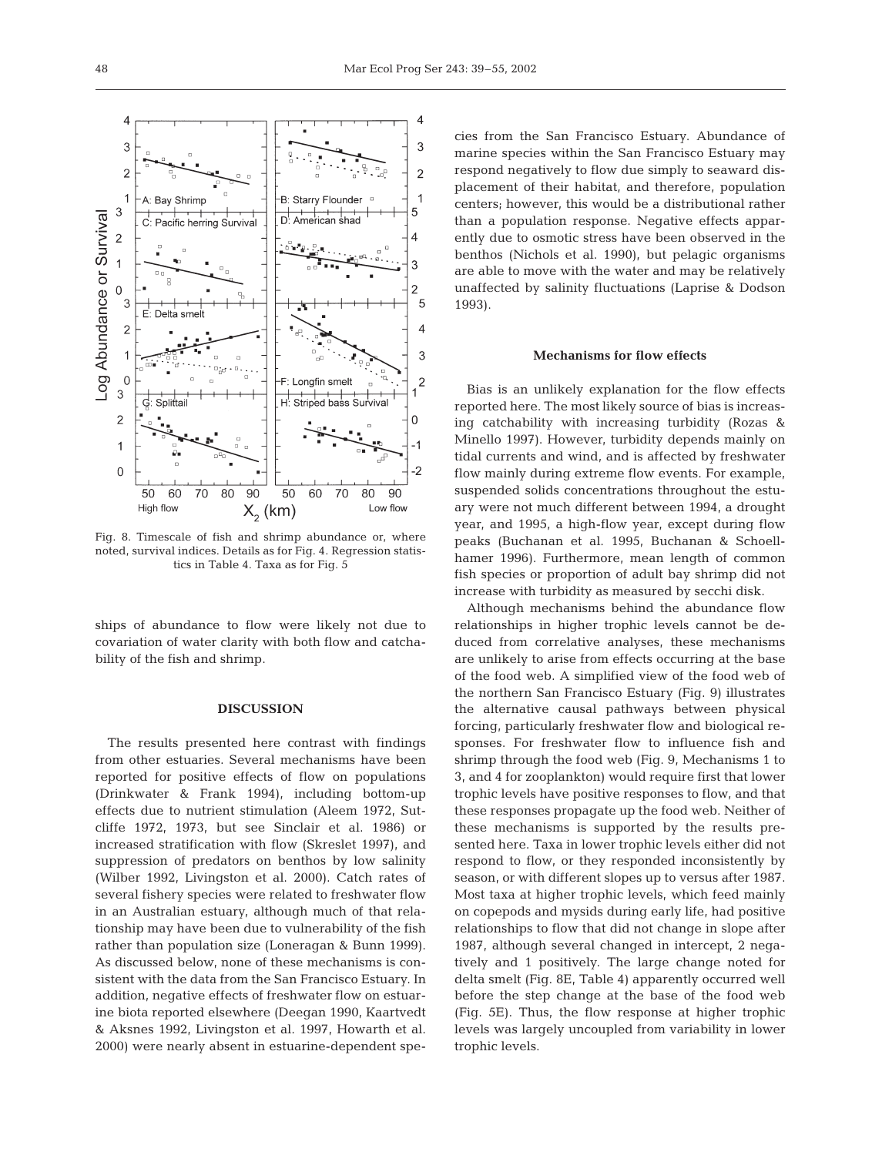

Fig. 8. Timescale of fish and shrimp abundance or, where noted, survival indices. Details as for Fig. 4. Regression statistics in Table 4. Taxa as for Fig. 5

ships of abundance to flow were likely not due to covariation of water clarity with both flow and catchability of the fish and shrimp.

#### **DISCUSSION**

The results presented here contrast with findings from other estuaries. Several mechanisms have been reported for positive effects of flow on populations (Drinkwater & Frank 1994), including bottom-up effects due to nutrient stimulation (Aleem 1972, Sutcliffe 1972, 1973, but see Sinclair et al. 1986) or increased stratification with flow (Skreslet 1997), and suppression of predators on benthos by low salinity (Wilber 1992, Livingston et al. 2000). Catch rates of several fishery species were related to freshwater flow in an Australian estuary, although much of that relationship may have been due to vulnerability of the fish rather than population size (Loneragan & Bunn 1999). As discussed below, none of these mechanisms is consistent with the data from the San Francisco Estuary. In addition, negative effects of freshwater flow on estuarine biota reported elsewhere (Deegan 1990, Kaartvedt & Aksnes 1992, Livingston et al. 1997, Howarth et al. 2000) were nearly absent in estuarine-dependent spe-

cies from the San Francisco Estuary. Abundance of marine species within the San Francisco Estuary may respond negatively to flow due simply to seaward displacement of their habitat, and therefore, population centers; however, this would be a distributional rather than a population response. Negative effects apparently due to osmotic stress have been observed in the benthos (Nichols et al. 1990), but pelagic organisms are able to move with the water and may be relatively unaffected by salinity fluctuations (Laprise & Dodson 1993).

## **Mechanisms for flow effects**

Bias is an unlikely explanation for the flow effects reported here. The most likely source of bias is increasing catchability with increasing turbidity (Rozas & Minello 1997). However, turbidity depends mainly on tidal currents and wind, and is affected by freshwater flow mainly during extreme flow events. For example, suspended solids concentrations throughout the estuary were not much different between 1994, a drought year, and 1995, a high-flow year, except during flow peaks (Buchanan et al. 1995, Buchanan & Schoellhamer 1996). Furthermore, mean length of common fish species or proportion of adult bay shrimp did not increase with turbidity as measured by secchi disk.

Although mechanisms behind the abundance flow relationships in higher trophic levels cannot be deduced from correlative analyses, these mechanisms are unlikely to arise from effects occurring at the base of the food web. A simplified view of the food web of the northern San Francisco Estuary (Fig. 9) illustrates the alternative causal pathways between physical forcing, particularly freshwater flow and biological responses. For freshwater flow to influence fish and shrimp through the food web (Fig. 9, Mechanisms 1 to 3, and 4 for zooplankton) would require first that lower trophic levels have positive responses to flow, and that these responses propagate up the food web. Neither of these mechanisms is supported by the results presented here. Taxa in lower trophic levels either did not respond to flow, or they responded inconsistently by season, or with different slopes up to versus after 1987. Most taxa at higher trophic levels, which feed mainly on copepods and mysids during early life, had positive relationships to flow that did not change in slope after 1987, although several changed in intercept, 2 negatively and 1 positively. The large change noted for delta smelt (Fig. 8E, Table 4) apparently occurred well before the step change at the base of the food web (Fig. 5E). Thus, the flow response at higher trophic levels was largely uncoupled from variability in lower trophic levels.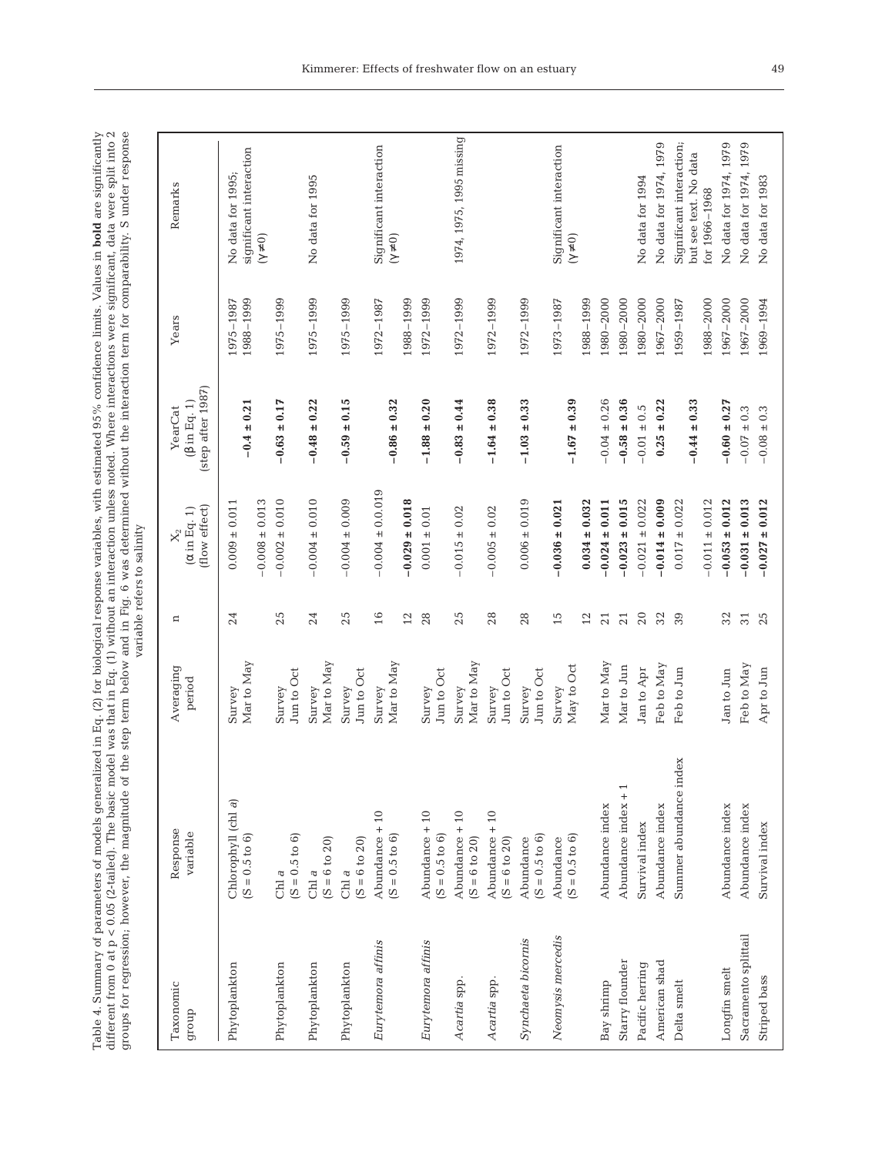Table 4. Summary of parameters of models generalized in Eq. (2) for biological response variables, with estimated 95% confidence limits. Values in **bold** are significantly different from 0 at p < 0.05 (2-tailed). The basi groups for regression; however, the magnitude of the step term below and in Fig. 6 was determined without the interaction term for comparability. S under response Table 4. Summary of parameters of models generalized in Eq. (2) for biological response variables, with estimated 95% confidence limits. Values in **bold** are significantly different from 0 at p < 0.05 (2-tailed). The basic model was that in Eq. (1) without an interaction unless noted. Where interactions were significant, data were split into 2

|                      |                                             |                      |          | variable refers to salinity                           |                                                    |                        |                                                                    |
|----------------------|---------------------------------------------|----------------------|----------|-------------------------------------------------------|----------------------------------------------------|------------------------|--------------------------------------------------------------------|
| Taxonomic<br>droub   | Response<br>variable                        | Averaging<br>period  | ¤        | (flow effect)<br>$(\alpha \text{ in Eq. 1})$<br>$X_2$ | (step after 1987)<br>$(\beta$ in Eq. 1)<br>YearCat | Years                  | Remarks                                                            |
| Phytoplankton        | Chlorophyll (chl a)<br>$(S = 0.5 to 6)$     | Mar to May<br>Survey | 24       | $-0.008 \pm 0.013$<br>$0.009 \pm 0.011$               | $-0.4 \pm 0.21$                                    | 1988-1999<br>1975-1987 | significant interaction<br>No data for 1995;<br>$(\gamma \neq 0)$  |
| Phytoplankton        | $(S = 0.5 to 6)$<br>Chl $\it a$             | Jun to Oct<br>Survey | 25       | $-0.002 \pm 0.010$                                    | $-0.63 \pm 0.17$                                   | 1975-1999              |                                                                    |
| Phytoplankton        | $(S = 6 to 20)$<br>Chl $\it a$              | Mar to May<br>Survey | 24       | $-0.004 \pm 0.010$                                    | $-0.48 \pm 0.22$                                   | 1975-1999              | No data for 1995                                                   |
| Phytoplankton        | $(S = 6 to 20)$<br>Chl a                    | Jun to Oct<br>Survey | 25       | $-0.004 \pm 0.009$                                    | $-0.59 \pm 0.15$                                   | 1975-1999              |                                                                    |
| Eurytemora affinis   | Abundance + 10<br>$(S = 0.5 \text{ to } 6)$ | Mar to May<br>Survey | 16<br>12 | $-0.004 \pm 0.019$<br>$-0.029 \pm 0.018$              | $-0.86 \pm 0.32$                                   | 1988-1999<br>1972-1987 | Significant interaction<br>$(\gamma \neq 0)$                       |
| Eurytemora affinis   | Abundance + 10<br>$(S = 0.5 to 6)$          | Jun to Oct<br>Survey | 28       | $0.001 \pm 0.01$                                      | $-1.88 \pm 0.20$                                   | 1972-1999              |                                                                    |
| Acartia spp.         | $\Delta$ bundance + 10<br>$(S = 6 to 20)$   | Mar to May<br>Survey | 25       | $-0.015 \pm 0.02$                                     | $-0.83 \pm 0.44$                                   | 1972-1999              | 1974, 1975, 1995 missing                                           |
| Acartia spp.         | $\Delta$ bundance + 10<br>$(S = 6 to 20)$   | Jun to Oct<br>Survey | 28       | $-0.005 \pm 0.02$                                     | $-1.64 \pm 0.38$                                   | 1972-1999              |                                                                    |
| Synchaeta bicornis   | $(S = 0.5 to 6)$<br>Abundance               | Jun to Oct<br>Survey | 28       | $0.006 \pm 0.019$                                     | $-1.03 \pm 0.33$                                   | 1972-1999              |                                                                    |
| Neomysis mercedis    | $(S = 0.5 to 6)$<br>Abundance               | May to Oct<br>Survey | 15<br>12 | $0.034 \pm 0.032$<br>$-0.036 \pm 0.021$               | $-1.67 \pm 0.39$                                   | 1988-1999<br>1973-1987 | Significant interaction<br>$(\gamma\neq 0)$                        |
| Bay shrimp           | Abundance index                             | Mar to May           | 21       | $-0.024 \pm 0.011$                                    | $-0.04 \pm 0.26$                                   | 1980-2000              |                                                                    |
| Starry flounder      | Abundance index + 1                         | Mar to Jun           | 21       | $-0.023 \pm 0.015$                                    | $-0.58 \pm 0.36$                                   | 1980-2000              |                                                                    |
| Pacific herring      | Survival index                              | Jan to Apr           | 20       | $-0.021 \pm 0.022$                                    | $-0.01 \pm 0.5$                                    | 1980-2000              | No data for 1994                                                   |
| American shad        | Abundance index                             | Feb to May           | 32       | $-0.014 \pm 0.009$                                    | $\pm 0.22$<br>0.25                                 | 1967-2000              | No data for 1974, 1979                                             |
| Delta smelt          | Summer abundance index                      | Feb to Jun           | 39       | $-0.011 \pm 0.012$<br>$0.017 \pm 0.022$               | $-0.44 \pm 0.33$                                   | 1988-2000<br>1959-1987 | Significant interaction;<br>but see text. No data<br>for 1966-1968 |
| Longfin smelt        | Abundance index                             | Jan to Jun           | 32       | $-0.053 \pm 0.012$                                    | $-0.60 \pm 0.27$                                   | 1967-2000              | No data for 1974, 1979                                             |
| Sacramento splittail | Abundance index                             | Feb to May           | 31       | $-0.031 \pm 0.013$                                    | $-0.07 \pm 0.3$                                    | 1967-2000              | No data for 1974, 1979                                             |
| Striped bass         | Survival index                              | Apr to Jun           | 25       | $-0.027 \pm 0.012$                                    | $-0.08 \pm 0.3$                                    | 1969-1994              | No data for 1983                                                   |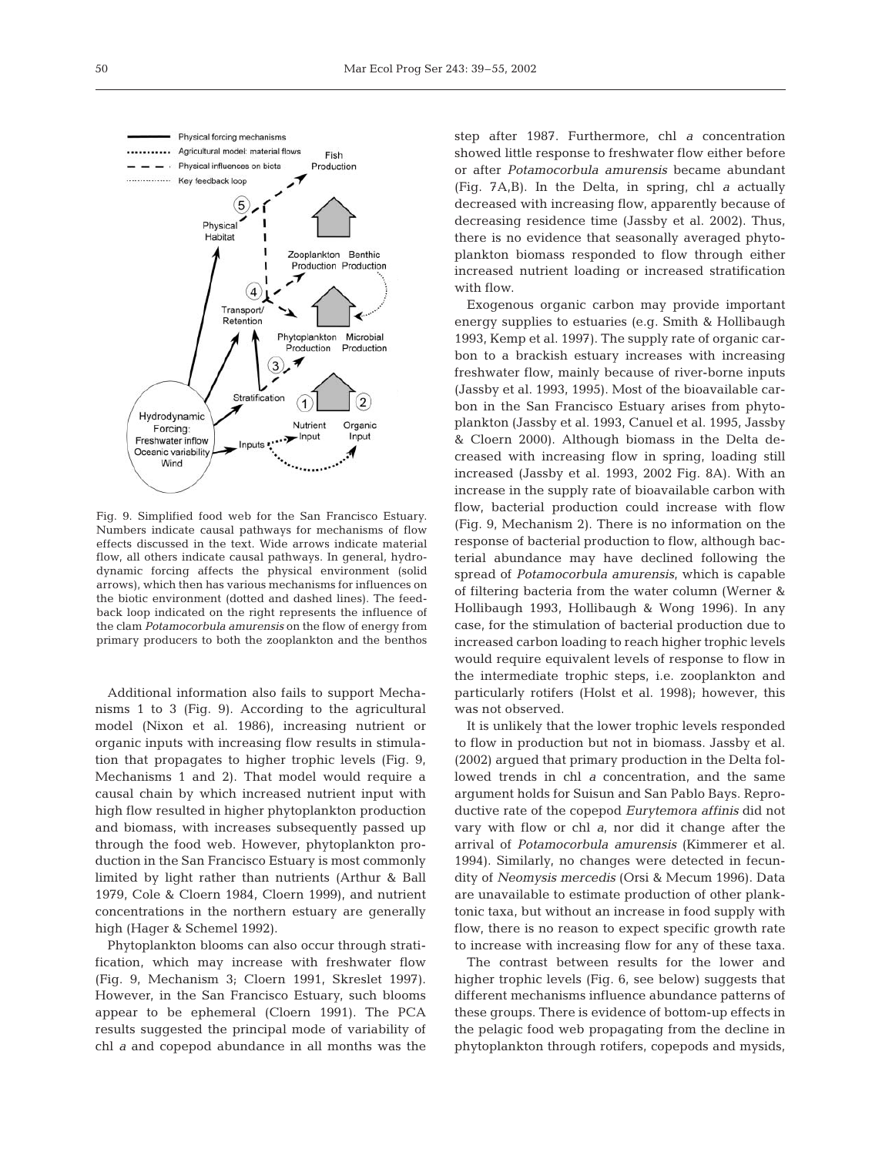

Fig. 9. Simplified food web for the San Francisco Estuary. Numbers indicate causal pathways for mechanisms of flow effects discussed in the text. Wide arrows indicate material flow, all others indicate causal pathways. In general, hydrodynamic forcing affects the physical environment (solid arrows), which then has various mechanisms for influences on the biotic environment (dotted and dashed lines). The feedback loop indicated on the right represents the influence of the clam *Potamocorbula amurensis* on the flow of energy from primary producers to both the zooplankton and the benthos

Additional information also fails to support Mechanisms 1 to 3 (Fig. 9). According to the agricultural model (Nixon et al. 1986), increasing nutrient or organic inputs with increasing flow results in stimulation that propagates to higher trophic levels (Fig. 9, Mechanisms 1 and 2). That model would require a causal chain by which increased nutrient input with high flow resulted in higher phytoplankton production and biomass, with increases subsequently passed up through the food web. However, phytoplankton production in the San Francisco Estuary is most commonly limited by light rather than nutrients (Arthur & Ball 1979, Cole & Cloern 1984, Cloern 1999), and nutrient concentrations in the northern estuary are generally high (Hager & Schemel 1992).

Phytoplankton blooms can also occur through stratification, which may increase with freshwater flow (Fig. 9, Mechanism 3; Cloern 1991, Skreslet 1997). However, in the San Francisco Estuary, such blooms appear to be ephemeral (Cloern 1991). The PCA results suggested the principal mode of variability of chl *a* and copepod abundance in all months was the

step after 1987. Furthermore, chl *a* concentration showed little response to freshwater flow either before or after *Potamocorbula amurensis* became abundant (Fig. 7A,B). In the Delta, in spring, chl *a* actually decreased with increasing flow, apparently because of decreasing residence time (Jassby et al. 2002). Thus, there is no evidence that seasonally averaged phytoplankton biomass responded to flow through either increased nutrient loading or increased stratification with flow.

Exogenous organic carbon may provide important energy supplies to estuaries (e.g. Smith & Hollibaugh 1993, Kemp et al. 1997). The supply rate of organic carbon to a brackish estuary increases with increasing freshwater flow, mainly because of river-borne inputs (Jassby et al. 1993, 1995). Most of the bioavailable carbon in the San Francisco Estuary arises from phytoplankton (Jassby et al. 1993, Canuel et al. 1995, Jassby & Cloern 2000). Although biomass in the Delta decreased with increasing flow in spring, loading still increased (Jassby et al. 1993, 2002 Fig. 8A). With an increase in the supply rate of bioavailable carbon with flow, bacterial production could increase with flow (Fig. 9, Mechanism 2). There is no information on the response of bacterial production to flow, although bacterial abundance may have declined following the spread of *Potamocorbula amurensis*, which is capable of filtering bacteria from the water column (Werner & Hollibaugh 1993, Hollibaugh & Wong 1996). In any case, for the stimulation of bacterial production due to increased carbon loading to reach higher trophic levels would require equivalent levels of response to flow in the intermediate trophic steps, i.e. zooplankton and particularly rotifers (Holst et al. 1998); however, this was not observed.

It is unlikely that the lower trophic levels responded to flow in production but not in biomass. Jassby et al. (2002) argued that primary production in the Delta followed trends in chl *a* concentration, and the same argument holds for Suisun and San Pablo Bays. Reproductive rate of the copepod *Eurytemora affinis* did not vary with flow or chl *a*, nor did it change after the arrival of *Potamocorbula amurensis* (Kimmerer et al. 1994). Similarly, no changes were detected in fecundity of *Neomysis mercedis* (Orsi & Mecum 1996). Data are unavailable to estimate production of other planktonic taxa, but without an increase in food supply with flow, there is no reason to expect specific growth rate to increase with increasing flow for any of these taxa.

The contrast between results for the lower and higher trophic levels (Fig. 6, see below) suggests that different mechanisms influence abundance patterns of these groups. There is evidence of bottom-up effects in the pelagic food web propagating from the decline in phytoplankton through rotifers, copepods and mysids,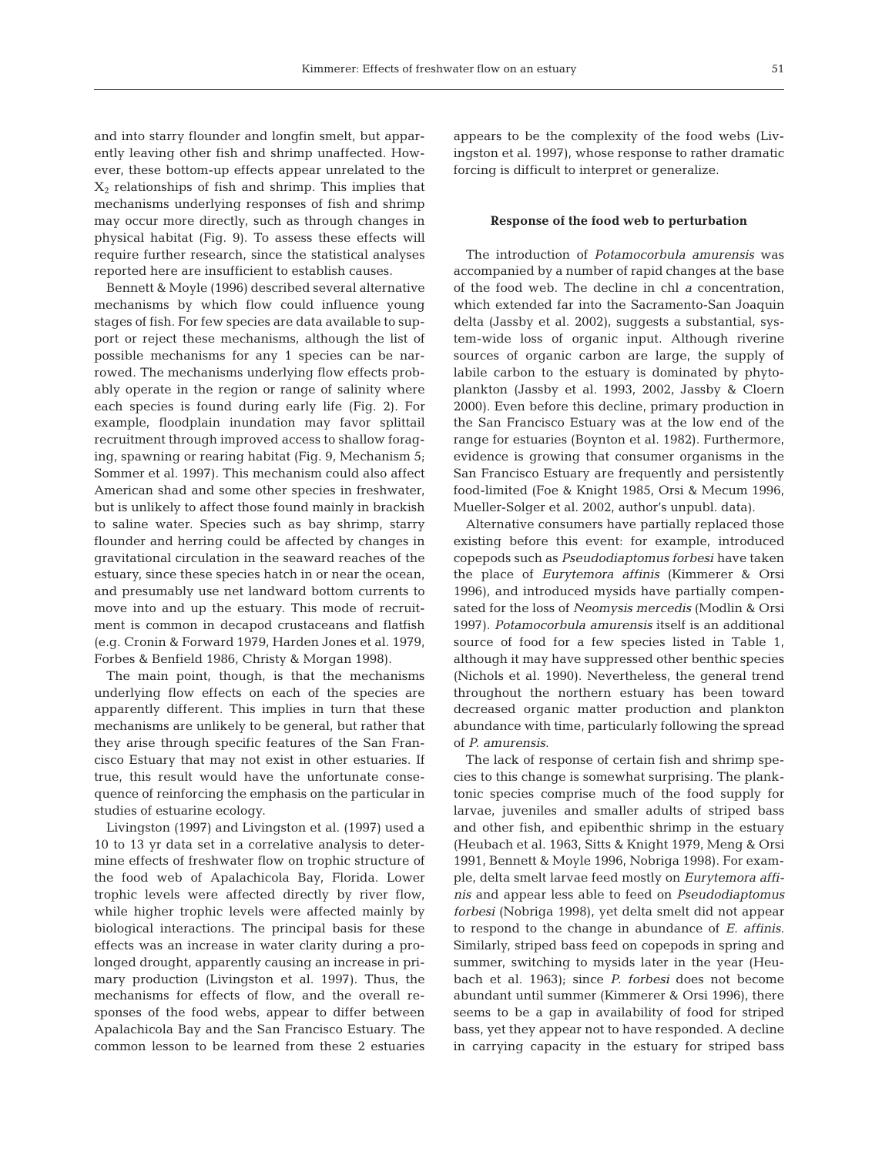and into starry flounder and longfin smelt, but apparently leaving other fish and shrimp unaffected. However, these bottom-up effects appear unrelated to the  $X<sub>2</sub>$  relationships of fish and shrimp. This implies that mechanisms underlying responses of fish and shrimp may occur more directly, such as through changes in physical habitat (Fig. 9). To assess these effects will require further research, since the statistical analyses reported here are insufficient to establish causes.

Bennett & Moyle (1996) described several alternative mechanisms by which flow could influence young stages of fish. For few species are data available to support or reject these mechanisms, although the list of possible mechanisms for any 1 species can be narrowed. The mechanisms underlying flow effects probably operate in the region or range of salinity where each species is found during early life (Fig. 2). For example, floodplain inundation may favor splittail recruitment through improved access to shallow foraging, spawning or rearing habitat (Fig. 9, Mechanism 5; Sommer et al. 1997). This mechanism could also affect American shad and some other species in freshwater, but is unlikely to affect those found mainly in brackish to saline water. Species such as bay shrimp, starry flounder and herring could be affected by changes in gravitational circulation in the seaward reaches of the estuary, since these species hatch in or near the ocean, and presumably use net landward bottom currents to move into and up the estuary. This mode of recruitment is common in decapod crustaceans and flatfish (e.g. Cronin & Forward 1979, Harden Jones et al. 1979, Forbes & Benfield 1986, Christy & Morgan 1998).

The main point, though, is that the mechanisms underlying flow effects on each of the species are apparently different. This implies in turn that these mechanisms are unlikely to be general, but rather that they arise through specific features of the San Francisco Estuary that may not exist in other estuaries. If true, this result would have the unfortunate consequence of reinforcing the emphasis on the particular in studies of estuarine ecology.

Livingston (1997) and Livingston et al. (1997) used a 10 to 13 yr data set in a correlative analysis to determine effects of freshwater flow on trophic structure of the food web of Apalachicola Bay, Florida. Lower trophic levels were affected directly by river flow, while higher trophic levels were affected mainly by biological interactions. The principal basis for these effects was an increase in water clarity during a prolonged drought, apparently causing an increase in primary production (Livingston et al. 1997). Thus, the mechanisms for effects of flow, and the overall responses of the food webs, appear to differ between Apalachicola Bay and the San Francisco Estuary. The common lesson to be learned from these 2 estuaries

appears to be the complexity of the food webs (Livingston et al. 1997), whose response to rather dramatic forcing is difficult to interpret or generalize.

#### **Response of the food web to perturbation**

The introduction of *Potamocorbula amurensis* was accompanied by a number of rapid changes at the base of the food web. The decline in chl *a* concentration, which extended far into the Sacramento-San Joaquin delta (Jassby et al. 2002), suggests a substantial, system-wide loss of organic input. Although riverine sources of organic carbon are large, the supply of labile carbon to the estuary is dominated by phytoplankton (Jassby et al. 1993, 2002, Jassby & Cloern 2000). Even before this decline, primary production in the San Francisco Estuary was at the low end of the range for estuaries (Boynton et al. 1982). Furthermore, evidence is growing that consumer organisms in the San Francisco Estuary are frequently and persistently food-limited (Foe & Knight 1985, Orsi & Mecum 1996, Mueller-Solger et al. 2002, author's unpubl. data).

Alternative consumers have partially replaced those existing before this event: for example, introduced copepods such as *Pseudodiaptomus forbesi* have taken the place of *Eurytemora affinis* (Kimmerer & Orsi 1996), and introduced mysids have partially compensated for the loss of *Neomysis mercedis* (Modlin & Orsi 1997). *Potamocorbula amurensis* itself is an additional source of food for a few species listed in Table 1, although it may have suppressed other benthic species (Nichols et al. 1990). Nevertheless, the general trend throughout the northern estuary has been toward decreased organic matter production and plankton abundance with time, particularly following the spread of *P. amurensis*.

The lack of response of certain fish and shrimp species to this change is somewhat surprising. The planktonic species comprise much of the food supply for larvae*,* juveniles and smaller adults of striped bass and other fish, and epibenthic shrimp in the estuary (Heubach et al. 1963, Sitts & Knight 1979, Meng & Orsi 1991, Bennett & Moyle 1996, Nobriga 1998). For example, delta smelt larvae feed mostly on *Eurytemora affinis* and appear less able to feed on *Pseudodiaptomus forbesi* (Nobriga 1998), yet delta smelt did not appear to respond to the change in abundance of *E. affinis*. Similarly, striped bass feed on copepods in spring and summer, switching to mysids later in the year (Heubach et al. 1963); since *P. forbesi* does not become abundant until summer (Kimmerer & Orsi 1996), there seems to be a gap in availability of food for striped bass, yet they appear not to have responded. A decline in carrying capacity in the estuary for striped bass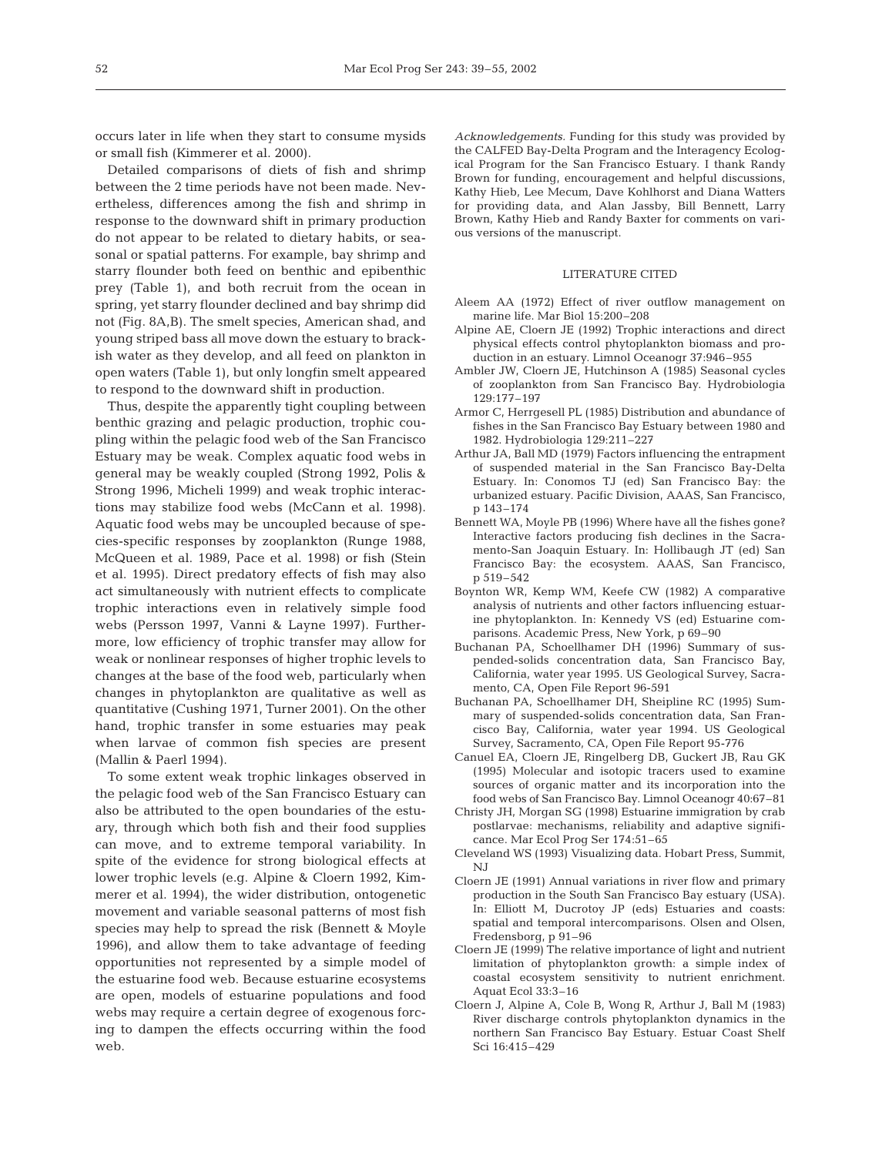occurs later in life when they start to consume mysids or small fish (Kimmerer et al. 2000).

Detailed comparisons of diets of fish and shrimp between the 2 time periods have not been made. Nevertheless, differences among the fish and shrimp in response to the downward shift in primary production do not appear to be related to dietary habits, or seasonal or spatial patterns. For example, bay shrimp and starry flounder both feed on benthic and epibenthic prey (Table 1), and both recruit from the ocean in spring, yet starry flounder declined and bay shrimp did not (Fig. 8A,B). The smelt species, American shad, and young striped bass all move down the estuary to brackish water as they develop, and all feed on plankton in open waters (Table 1), but only longfin smelt appeared to respond to the downward shift in production.

Thus, despite the apparently tight coupling between benthic grazing and pelagic production, trophic coupling within the pelagic food web of the San Francisco Estuary may be weak. Complex aquatic food webs in general may be weakly coupled (Strong 1992, Polis & Strong 1996, Micheli 1999) and weak trophic interactions may stabilize food webs (McCann et al. 1998). Aquatic food webs may be uncoupled because of species-specific responses by zooplankton (Runge 1988, McQueen et al. 1989, Pace et al. 1998) or fish (Stein et al. 1995). Direct predatory effects of fish may also act simultaneously with nutrient effects to complicate trophic interactions even in relatively simple food webs (Persson 1997, Vanni & Layne 1997). Furthermore, low efficiency of trophic transfer may allow for weak or nonlinear responses of higher trophic levels to changes at the base of the food web, particularly when changes in phytoplankton are qualitative as well as quantitative (Cushing 1971, Turner 2001). On the other hand, trophic transfer in some estuaries may peak when larvae of common fish species are present (Mallin & Paerl 1994).

To some extent weak trophic linkages observed in the pelagic food web of the San Francisco Estuary can also be attributed to the open boundaries of the estuary, through which both fish and their food supplies can move, and to extreme temporal variability. In spite of the evidence for strong biological effects at lower trophic levels (e.g. Alpine & Cloern 1992, Kimmerer et al. 1994), the wider distribution, ontogenetic movement and variable seasonal patterns of most fish species may help to spread the risk (Bennett & Moyle 1996), and allow them to take advantage of feeding opportunities not represented by a simple model of the estuarine food web. Because estuarine ecosystems are open, models of estuarine populations and food webs may require a certain degree of exogenous forcing to dampen the effects occurring within the food web.

*Acknowledgements.* Funding for this study was provided by the CALFED Bay-Delta Program and the Interagency Ecological Program for the San Francisco Estuary. I thank Randy Brown for funding, encouragement and helpful discussions, Kathy Hieb, Lee Mecum, Dave Kohlhorst and Diana Watters for providing data, and Alan Jassby, Bill Bennett, Larry Brown, Kathy Hieb and Randy Baxter for comments on various versions of the manuscript.

## LITERATURE CITED

- Aleem AA (1972) Effect of river outflow management on marine life. Mar Biol 15:200–208
- Alpine AE, Cloern JE (1992) Trophic interactions and direct physical effects control phytoplankton biomass and production in an estuary. Limnol Oceanogr 37:946–955
- Ambler JW, Cloern JE, Hutchinson A (1985) Seasonal cycles of zooplankton from San Francisco Bay. Hydrobiologia 129:177–197
- Armor C, Herrgesell PL (1985) Distribution and abundance of fishes in the San Francisco Bay Estuary between 1980 and 1982. Hydrobiologia 129:211–227
- Arthur JA, Ball MD (1979) Factors influencing the entrapment of suspended material in the San Francisco Bay-Delta Estuary. In: Conomos TJ (ed) San Francisco Bay: the urbanized estuary. Pacific Division, AAAS, San Francisco, p 143–174
- Bennett WA, Moyle PB (1996) Where have all the fishes gone? Interactive factors producing fish declines in the Sacramento-San Joaquin Estuary. In: Hollibaugh JT (ed) San Francisco Bay: the ecosystem. AAAS, San Francisco, p 519–542
- Boynton WR, Kemp WM, Keefe CW (1982) A comparative analysis of nutrients and other factors influencing estuarine phytoplankton. In: Kennedy VS (ed) Estuarine comparisons. Academic Press, New York, p 69–90
- Buchanan PA, Schoellhamer DH (1996) Summary of suspended-solids concentration data, San Francisco Bay, California, water year 1995. US Geological Survey, Sacramento, CA, Open File Report 96-591
- Buchanan PA, Schoellhamer DH, Sheipline RC (1995) Summary of suspended-solids concentration data, San Francisco Bay, California, water year 1994. US Geological Survey, Sacramento, CA, Open File Report 95-776
- Canuel EA, Cloern JE, Ringelberg DB, Guckert JB, Rau GK (1995) Molecular and isotopic tracers used to examine sources of organic matter and its incorporation into the food webs of San Francisco Bay. Limnol Oceanogr 40:67–81
- Christy JH, Morgan SG (1998) Estuarine immigration by crab postlarvae: mechanisms, reliability and adaptive significance. Mar Ecol Prog Ser 174:51–65
- Cleveland WS (1993) Visualizing data. Hobart Press, Summit, NJ
- Cloern JE (1991) Annual variations in river flow and primary production in the South San Francisco Bay estuary (USA). In: Elliott M, Ducrotoy JP (eds) Estuaries and coasts: spatial and temporal intercomparisons. Olsen and Olsen, Fredensborg, p 91–96
- Cloern JE (1999) The relative importance of light and nutrient limitation of phytoplankton growth: a simple index of coastal ecosystem sensitivity to nutrient enrichment. Aquat Ecol 33:3–16
- Cloern J, Alpine A, Cole B, Wong R, Arthur J, Ball M (1983) River discharge controls phytoplankton dynamics in the northern San Francisco Bay Estuary. Estuar Coast Shelf Sci 16:415–429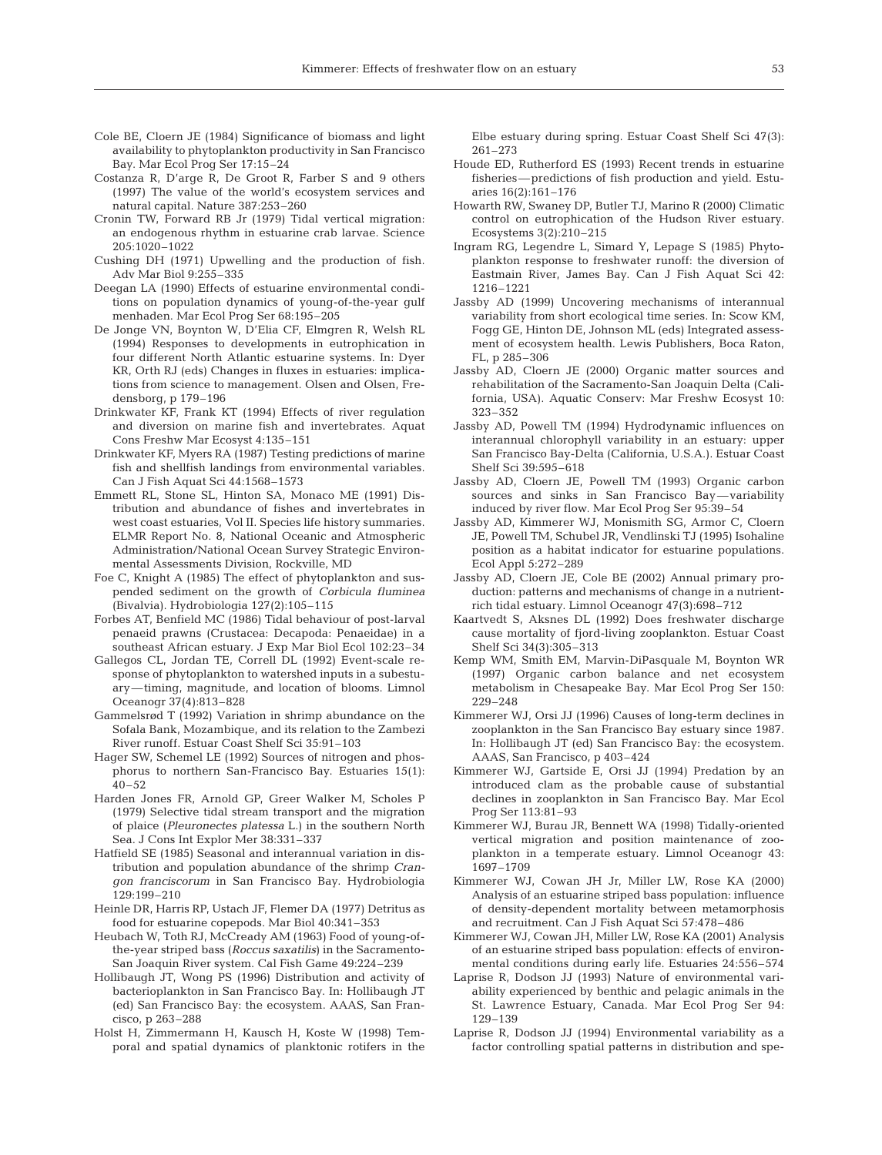- Cole BE, Cloern JE (1984) Significance of biomass and light availability to phytoplankton productivity in San Francisco Bay. Mar Ecol Prog Ser 17:15–24
- Costanza R, D'arge R, De Groot R, Farber S and 9 others (1997) The value of the world's ecosystem services and natural capital. Nature 387:253–260
- Cronin TW, Forward RB Jr (1979) Tidal vertical migration: an endogenous rhythm in estuarine crab larvae. Science 205:1020–1022
- Cushing DH (1971) Upwelling and the production of fish. Adv Mar Biol 9:255–335
- Deegan LA (1990) Effects of estuarine environmental conditions on population dynamics of young-of-the-year gulf menhaden. Mar Ecol Prog Ser 68:195–205
- De Jonge VN, Boynton W, D'Elia CF, Elmgren R, Welsh RL (1994) Responses to developments in eutrophication in four different North Atlantic estuarine systems. In: Dyer KR, Orth RJ (eds) Changes in fluxes in estuaries: implications from science to management. Olsen and Olsen, Fredensborg, p 179–196
- Drinkwater KF, Frank KT (1994) Effects of river regulation and diversion on marine fish and invertebrates. Aquat Cons Freshw Mar Ecosyst 4:135–151
- Drinkwater KF, Myers RA (1987) Testing predictions of marine fish and shellfish landings from environmental variables. Can J Fish Aquat Sci 44:1568–1573
- Emmett RL, Stone SL, Hinton SA, Monaco ME (1991) Distribution and abundance of fishes and invertebrates in west coast estuaries, Vol II. Species life history summaries. ELMR Report No. 8, National Oceanic and Atmospheric Administration/National Ocean Survey Strategic Environmental Assessments Division, Rockville, MD
- Foe C, Knight A (1985) The effect of phytoplankton and suspended sediment on the growth of *Corbicula fluminea* (Bivalvia). Hydrobiologia 127(2):105–115
- Forbes AT, Benfield MC (1986) Tidal behaviour of post-larval penaeid prawns (Crustacea: Decapoda: Penaeidae) in a southeast African estuary. J Exp Mar Biol Ecol 102:23–34
- Gallegos CL, Jordan TE, Correll DL (1992) Event-scale response of phytoplankton to watershed inputs in a subestuary—timing, magnitude, and location of blooms. Limnol Oceanogr 37(4):813–828
- Gammelsrød T (1992) Variation in shrimp abundance on the Sofala Bank, Mozambique, and its relation to the Zambezi River runoff. Estuar Coast Shelf Sci 35:91–103
- Hager SW, Schemel LE (1992) Sources of nitrogen and phosphorus to northern San-Francisco Bay. Estuaries 15(1):  $40 - 52$
- Harden Jones FR, Arnold GP, Greer Walker M, Scholes P (1979) Selective tidal stream transport and the migration of plaice (*Pleuronectes platessa* L.) in the southern North Sea. J Cons Int Explor Mer 38:331–337
- Hatfield SE (1985) Seasonal and interannual variation in distribution and population abundance of the shrimp *Crangon franciscorum* in San Francisco Bay. Hydrobiologia 129:199–210
- Heinle DR, Harris RP, Ustach JF, Flemer DA (1977) Detritus as food for estuarine copepods. Mar Biol 40:341–353
- Heubach W, Toth RJ, McCready AM (1963) Food of young-ofthe-year striped bass (*Roccus saxatilis*) in the Sacramento-San Joaquin River system. Cal Fish Game 49:224–239
- Hollibaugh JT, Wong PS (1996) Distribution and activity of bacterioplankton in San Francisco Bay. In: Hollibaugh JT (ed) San Francisco Bay: the ecosystem. AAAS, San Francisco, p 263–288
- Holst H, Zimmermann H, Kausch H, Koste W (1998) Temporal and spatial dynamics of planktonic rotifers in the

Elbe estuary during spring. Estuar Coast Shelf Sci 47(3): 261–273

- Houde ED, Rutherford ES (1993) Recent trends in estuarine fisheries—predictions of fish production and yield. Estuaries 16(2):161–176
- Howarth RW, Swaney DP, Butler TJ, Marino R (2000) Climatic control on eutrophication of the Hudson River estuary. Ecosystems 3(2):210–215
- Ingram RG, Legendre L, Simard Y, Lepage S (1985) Phytoplankton response to freshwater runoff: the diversion of Eastmain River, James Bay. Can J Fish Aquat Sci 42: 1216–1221
- Jassby AD (1999) Uncovering mechanisms of interannual variability from short ecological time series. In: Scow KM, Fogg GE, Hinton DE, Johnson ML (eds) Integrated assessment of ecosystem health. Lewis Publishers, Boca Raton, FL, p 285–306
- Jassby AD, Cloern JE (2000) Organic matter sources and rehabilitation of the Sacramento-San Joaquin Delta (California, USA). Aquatic Conserv: Mar Freshw Ecosyst 10: 323–352
- Jassby AD, Powell TM (1994) Hydrodynamic influences on interannual chlorophyll variability in an estuary: upper San Francisco Bay-Delta (California, U.S.A.). Estuar Coast Shelf Sci 39:595–618
- Jassby AD, Cloern JE, Powell TM (1993) Organic carbon sources and sinks in San Francisco Bay—variability induced by river flow. Mar Ecol Prog Ser 95:39–54
- Jassby AD, Kimmerer WJ, Monismith SG, Armor C, Cloern JE, Powell TM, Schubel JR, Vendlinski TJ (1995) Isohaline position as a habitat indicator for estuarine populations. Ecol Appl 5:272–289
- Jassby AD, Cloern JE, Cole BE (2002) Annual primary production: patterns and mechanisms of change in a nutrientrich tidal estuary. Limnol Oceanogr 47(3):698–712
- Kaartvedt S, Aksnes DL (1992) Does freshwater discharge cause mortality of fjord-living zooplankton. Estuar Coast Shelf Sci 34(3):305–313
- Kemp WM, Smith EM, Marvin-DiPasquale M, Boynton WR (1997) Organic carbon balance and net ecosystem metabolism in Chesapeake Bay. Mar Ecol Prog Ser 150: 229–248
- Kimmerer WJ, Orsi JJ (1996) Causes of long-term declines in zooplankton in the San Francisco Bay estuary since 1987. In: Hollibaugh JT (ed) San Francisco Bay: the ecosystem. AAAS, San Francisco, p 403–424
- Kimmerer WJ, Gartside E, Orsi JJ (1994) Predation by an introduced clam as the probable cause of substantial declines in zooplankton in San Francisco Bay. Mar Ecol Prog Ser 113:81–93
- Kimmerer WJ, Burau JR, Bennett WA (1998) Tidally-oriented vertical migration and position maintenance of zooplankton in a temperate estuary. Limnol Oceanogr 43: 1697–1709
- Kimmerer WJ, Cowan JH Jr, Miller LW, Rose KA (2000) Analysis of an estuarine striped bass population: influence of density-dependent mortality between metamorphosis and recruitment. Can J Fish Aquat Sci 57:478–486
- Kimmerer WJ, Cowan JH, Miller LW, Rose KA (2001) Analysis of an estuarine striped bass population: effects of environmental conditions during early life. Estuaries 24:556–574
- Laprise R, Dodson JJ (1993) Nature of environmental variability experienced by benthic and pelagic animals in the St. Lawrence Estuary, Canada. Mar Ecol Prog Ser 94: 129–139
- Laprise R, Dodson JJ (1994) Environmental variability as a factor controlling spatial patterns in distribution and spe-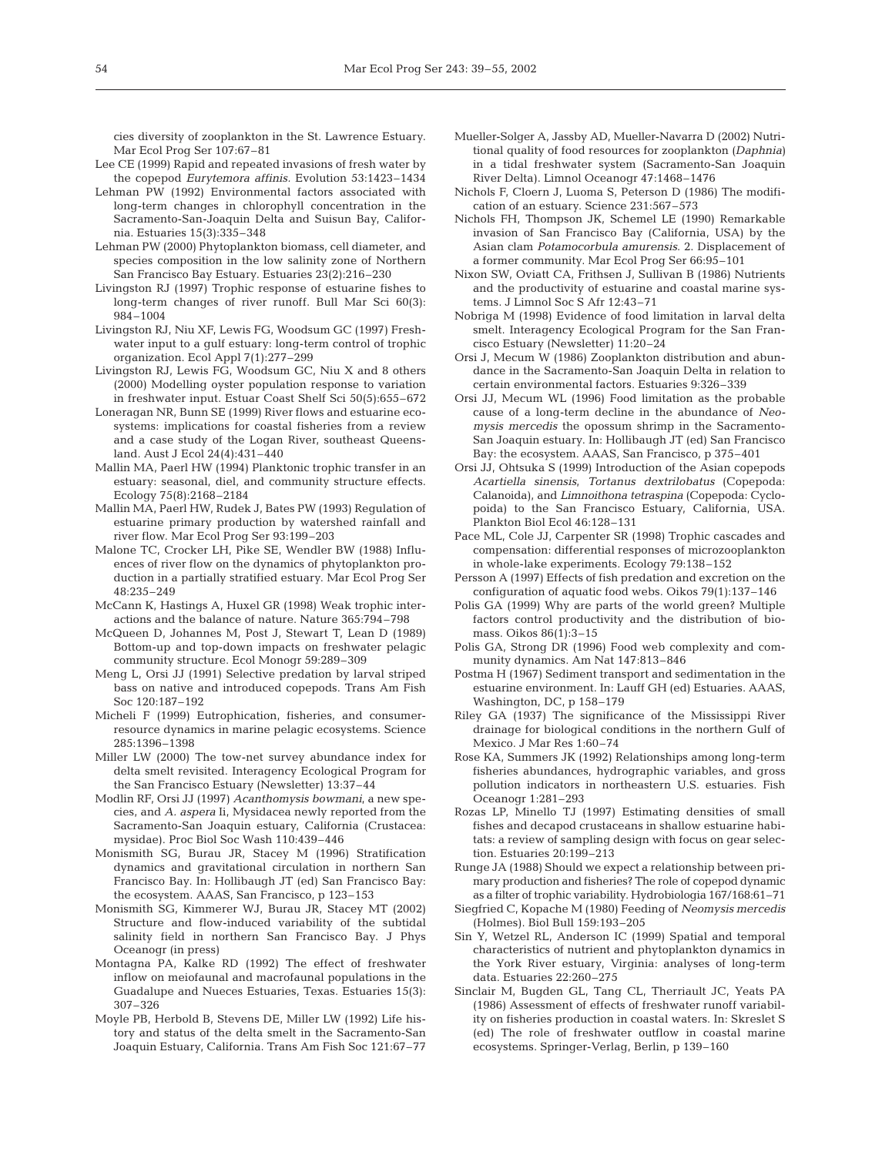cies diversity of zooplankton in the St. Lawrence Estuary. Mar Ecol Prog Ser 107:67–81

- Lee CE (1999) Rapid and repeated invasions of fresh water by the copepod *Eurytemora affinis.* Evolution 53:1423–1434
- Lehman PW (1992) Environmental factors associated with long-term changes in chlorophyll concentration in the Sacramento-San-Joaquin Delta and Suisun Bay, California. Estuaries 15(3):335–348
- Lehman PW (2000) Phytoplankton biomass, cell diameter, and species composition in the low salinity zone of Northern San Francisco Bay Estuary. Estuaries 23(2):216–230
- Livingston RJ (1997) Trophic response of estuarine fishes to long-term changes of river runoff. Bull Mar Sci 60(3): 984–1004
- Livingston RJ, Niu XF, Lewis FG, Woodsum GC (1997) Freshwater input to a gulf estuary: long-term control of trophic organization. Ecol Appl 7(1):277–299
- Livingston RJ, Lewis FG, Woodsum GC, Niu X and 8 others (2000) Modelling oyster population response to variation in freshwater input. Estuar Coast Shelf Sci 50(5):655–672
- Loneragan NR, Bunn SE (1999) River flows and estuarine ecosystems: implications for coastal fisheries from a review and a case study of the Logan River, southeast Queensland. Aust J Ecol 24(4):431–440
- Mallin MA, Paerl HW (1994) Planktonic trophic transfer in an estuary: seasonal, diel, and community structure effects. Ecology 75(8):2168–2184
- Mallin MA, Paerl HW, Rudek J, Bates PW (1993) Regulation of estuarine primary production by watershed rainfall and river flow. Mar Ecol Prog Ser 93:199–203
- Malone TC, Crocker LH, Pike SE, Wendler BW (1988) Influences of river flow on the dynamics of phytoplankton production in a partially stratified estuary. Mar Ecol Prog Ser 48:235–249
- McCann K, Hastings A, Huxel GR (1998) Weak trophic interactions and the balance of nature. Nature 365:794–798
- McQueen D, Johannes M, Post J, Stewart T, Lean D (1989) Bottom-up and top-down impacts on freshwater pelagic community structure. Ecol Monogr 59:289–309
- Meng L, Orsi JJ (1991) Selective predation by larval striped bass on native and introduced copepods. Trans Am Fish Soc 120:187–192
- Micheli F (1999) Eutrophication, fisheries, and consumerresource dynamics in marine pelagic ecosystems. Science 285:1396–1398
- Miller LW (2000) The tow-net survey abundance index for delta smelt revisited. Interagency Ecological Program for the San Francisco Estuary (Newsletter) 13:37–44
- Modlin RF, Orsi JJ (1997) *Acanthomysis bowmani*, a new species, and *A. aspera* Ii, Mysidacea newly reported from the Sacramento-San Joaquin estuary, California (Crustacea: mysidae). Proc Biol Soc Wash 110:439–446
- Monismith SG, Burau JR, Stacey M (1996) Stratification dynamics and gravitational circulation in northern San Francisco Bay. In: Hollibaugh JT (ed) San Francisco Bay: the ecosystem. AAAS, San Francisco, p 123–153
- Monismith SG, Kimmerer WJ, Burau JR, Stacey MT (2002) Structure and flow-induced variability of the subtidal salinity field in northern San Francisco Bay. J Phys Oceanogr (in press)
- Montagna PA, Kalke RD (1992) The effect of freshwater inflow on meiofaunal and macrofaunal populations in the Guadalupe and Nueces Estuaries, Texas. Estuaries 15(3): 307–326
- Moyle PB, Herbold B, Stevens DE, Miller LW (1992) Life history and status of the delta smelt in the Sacramento-San Joaquin Estuary, California. Trans Am Fish Soc 121:67–77
- Mueller-Solger A, Jassby AD, Mueller-Navarra D (2002) Nutritional quality of food resources for zooplankton *(Daphnia)* in a tidal freshwater system (Sacramento-San Joaquin River Delta). Limnol Oceanogr 47:1468–1476
- Nichols F, Cloern J, Luoma S, Peterson D (1986) The modification of an estuary. Science 231:567–573
- Nichols FH, Thompson JK, Schemel LE (1990) Remarkable invasion of San Francisco Bay (California, USA) by the Asian clam *Potamocorbula amurensis*. 2. Displacement of a former community. Mar Ecol Prog Ser 66:95–101
- Nixon SW, Oviatt CA, Frithsen J, Sullivan B (1986) Nutrients and the productivity of estuarine and coastal marine systems. J Limnol Soc S Afr 12:43–71
- Nobriga M (1998) Evidence of food limitation in larval delta smelt. Interagency Ecological Program for the San Francisco Estuary (Newsletter) 11:20–24
- Orsi J, Mecum W (1986) Zooplankton distribution and abundance in the Sacramento-San Joaquin Delta in relation to certain environmental factors. Estuaries 9:326–339
- Orsi JJ, Mecum WL (1996) Food limitation as the probable cause of a long-term decline in the abundance of *Neomysis mercedis* the opossum shrimp in the Sacramento-San Joaquin estuary. In: Hollibaugh JT (ed) San Francisco Bay: the ecosystem. AAAS, San Francisco, p 375–401
- Orsi JJ, Ohtsuka S (1999) Introduction of the Asian copepods *Acartiella sinensis, Tortanus dextrilobatus* (Copepoda: Calanoida), and *Limnoithona tetraspina* (Copepoda: Cyclopoida) to the San Francisco Estuary, California, USA. Plankton Biol Ecol 46:128–131
- Pace ML, Cole JJ, Carpenter SR (1998) Trophic cascades and compensation: differential responses of microzooplankton in whole-lake experiments. Ecology 79:138–152
- Persson A (1997) Effects of fish predation and excretion on the configuration of aquatic food webs. Oikos 79(1):137–146
- Polis GA (1999) Why are parts of the world green? Multiple factors control productivity and the distribution of biomass. Oikos 86(1):3–15
- Polis GA, Strong DR (1996) Food web complexity and community dynamics. Am Nat 147:813–846
- Postma H (1967) Sediment transport and sedimentation in the estuarine environment. In: Lauff GH (ed) Estuaries. AAAS, Washington, DC, p 158–179
- Riley GA (1937) The significance of the Mississippi River drainage for biological conditions in the northern Gulf of Mexico. J Mar Res 1:60–74
- Rose KA, Summers JK (1992) Relationships among long-term fisheries abundances, hydrographic variables, and gross pollution indicators in northeastern U.S. estuaries. Fish Oceanogr 1:281–293
- Rozas LP, Minello TJ (1997) Estimating densities of small fishes and decapod crustaceans in shallow estuarine habitats: a review of sampling design with focus on gear selection. Estuaries 20:199–213
- Runge JA (1988) Should we expect a relationship between primary production and fisheries? The role of copepod dynamic as a filter of trophic variability. Hydrobiologia 167/168:61–71
- Siegfried C, Kopache M (1980) Feeding of *Neomysis mercedis* (Holmes). Biol Bull 159:193–205
- Sin Y, Wetzel RL, Anderson IC (1999) Spatial and temporal characteristics of nutrient and phytoplankton dynamics in the York River estuary, Virginia: analyses of long-term data. Estuaries 22:260–275
- Sinclair M, Bugden GL, Tang CL, Therriault JC, Yeats PA (1986) Assessment of effects of freshwater runoff variability on fisheries production in coastal waters. In: Skreslet S (ed) The role of freshwater outflow in coastal marine ecosystems. Springer-Verlag, Berlin, p 139–160